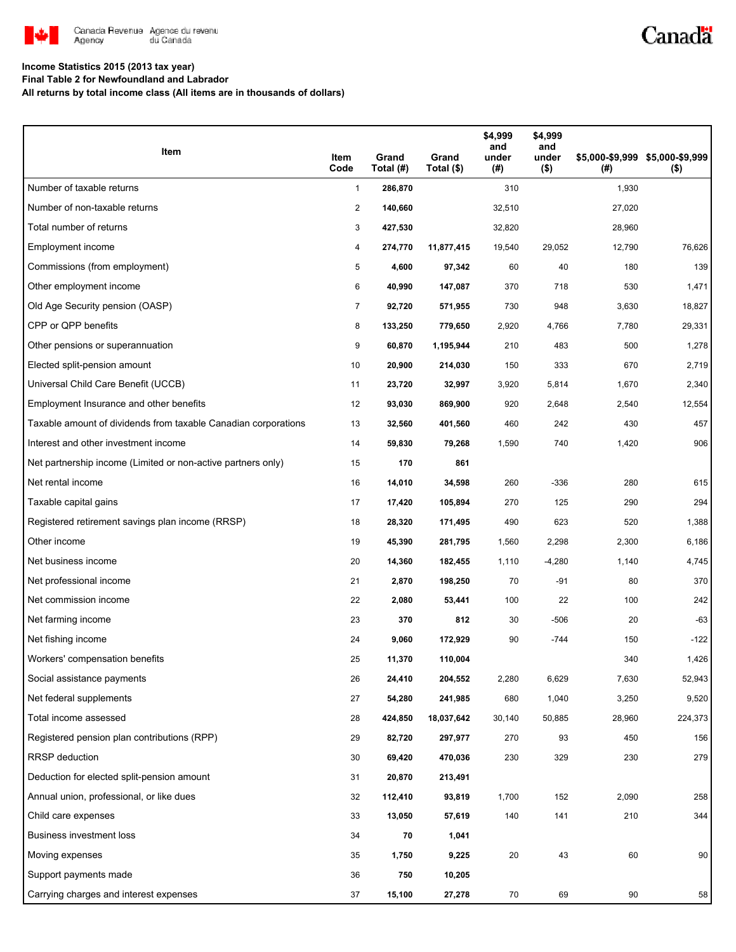

# Canadä

### **Income Statistics 2015 (2013 tax year)**

**Final Table 2 for Newfoundland and Labrador**

**All returns by total income class (All items are in thousands of dollars)**

| Item                                                           | Item<br>Code   | Grand<br>Total (#) | Grand<br>Total (\$) | \$4,999<br>and<br>under<br>(#) | \$4,999<br>and<br>under<br>$($ \$) | (#)    | \$5,000-\$9,999 \$5,000-\$9,999<br>$($ \$) |
|----------------------------------------------------------------|----------------|--------------------|---------------------|--------------------------------|------------------------------------|--------|--------------------------------------------|
| Number of taxable returns                                      | $\mathbf{1}$   | 286,870            |                     | 310                            |                                    | 1,930  |                                            |
| Number of non-taxable returns                                  | $\overline{2}$ | 140,660            |                     | 32,510                         |                                    | 27,020 |                                            |
| Total number of returns                                        | 3              | 427,530            |                     | 32,820                         |                                    | 28,960 |                                            |
| Employment income                                              | 4              | 274,770            | 11,877,415          | 19,540                         | 29,052                             | 12,790 | 76,626                                     |
| Commissions (from employment)                                  | 5              | 4,600              | 97,342              | 60                             | 40                                 | 180    | 139                                        |
| Other employment income                                        | 6              | 40,990             | 147,087             | 370                            | 718                                | 530    | 1,471                                      |
| Old Age Security pension (OASP)                                | 7              | 92,720             | 571,955             | 730                            | 948                                | 3,630  | 18,827                                     |
| CPP or QPP benefits                                            | 8              | 133,250            | 779,650             | 2,920                          | 4,766                              | 7,780  | 29,331                                     |
| Other pensions or superannuation                               | 9              | 60,870             | 1,195,944           | 210                            | 483                                | 500    | 1,278                                      |
| Elected split-pension amount                                   | 10             | 20,900             | 214,030             | 150                            | 333                                | 670    | 2,719                                      |
| Universal Child Care Benefit (UCCB)                            | 11             | 23,720             | 32,997              | 3,920                          | 5,814                              | 1,670  | 2,340                                      |
| Employment Insurance and other benefits                        | 12             | 93,030             | 869,900             | 920                            | 2,648                              | 2,540  | 12,554                                     |
| Taxable amount of dividends from taxable Canadian corporations | 13             | 32,560             | 401,560             | 460                            | 242                                | 430    | 457                                        |
| Interest and other investment income                           | 14             | 59,830             | 79,268              | 1,590                          | 740                                | 1,420  | 906                                        |
| Net partnership income (Limited or non-active partners only)   | 15             | 170                | 861                 |                                |                                    |        |                                            |
| Net rental income                                              | 16             | 14,010             | 34,598              | 260                            | $-336$                             | 280    | 615                                        |
| Taxable capital gains                                          | 17             | 17,420             | 105,894             | 270                            | 125                                | 290    | 294                                        |
| Registered retirement savings plan income (RRSP)               | 18             | 28,320             | 171,495             | 490                            | 623                                | 520    | 1,388                                      |
| Other income                                                   | 19             | 45,390             | 281,795             | 1,560                          | 2,298                              | 2,300  | 6,186                                      |
| Net business income                                            | 20             | 14,360             | 182,455             | 1,110                          | $-4,280$                           | 1,140  | 4,745                                      |
| Net professional income                                        | 21             | 2,870              | 198,250             | 70                             | -91                                | 80     | 370                                        |
| Net commission income                                          | 22             | 2,080              | 53,441              | 100                            | 22                                 | 100    | 242                                        |
| Net farming income                                             | 23             | 370                | 812                 | 30                             | $-506$                             | 20     | -63                                        |
| Net fishing income                                             | 24             | 9,060              | 172,929             | 90                             | $-744$                             | 150    | $-122$                                     |
| Workers' compensation benefits                                 | 25             | 11,370             | 110,004             |                                |                                    | 340    | 1,426                                      |
| Social assistance payments                                     | 26             | 24,410             | 204,552             | 2,280                          | 6,629                              | 7,630  | 52,943                                     |
| Net federal supplements                                        | 27             | 54,280             | 241,985             | 680                            | 1,040                              | 3,250  | 9,520                                      |
| Total income assessed                                          | 28             | 424,850            | 18,037,642          | 30,140                         | 50,885                             | 28,960 | 224,373                                    |
| Registered pension plan contributions (RPP)                    | 29             | 82,720             | 297,977             | 270                            | 93                                 | 450    | 156                                        |
| RRSP deduction                                                 | 30             | 69,420             | 470,036             | 230                            | 329                                | 230    | 279                                        |
| Deduction for elected split-pension amount                     | 31             | 20,870             | 213,491             |                                |                                    |        |                                            |
| Annual union, professional, or like dues                       | 32             | 112,410            | 93,819              | 1,700                          | 152                                | 2,090  | 258                                        |
| Child care expenses                                            | 33             | 13,050             | 57,619              | 140                            | 141                                | 210    | 344                                        |
| Business investment loss                                       | 34             | 70                 | 1,041               |                                |                                    |        |                                            |
| Moving expenses                                                | 35             | 1,750              | 9,225               | 20                             | 43                                 | 60     | 90                                         |
| Support payments made                                          | 36             | 750                | 10,205              |                                |                                    |        |                                            |
| Carrying charges and interest expenses                         | 37             | 15,100             | 27,278              | 70                             | 69                                 | 90     | 58                                         |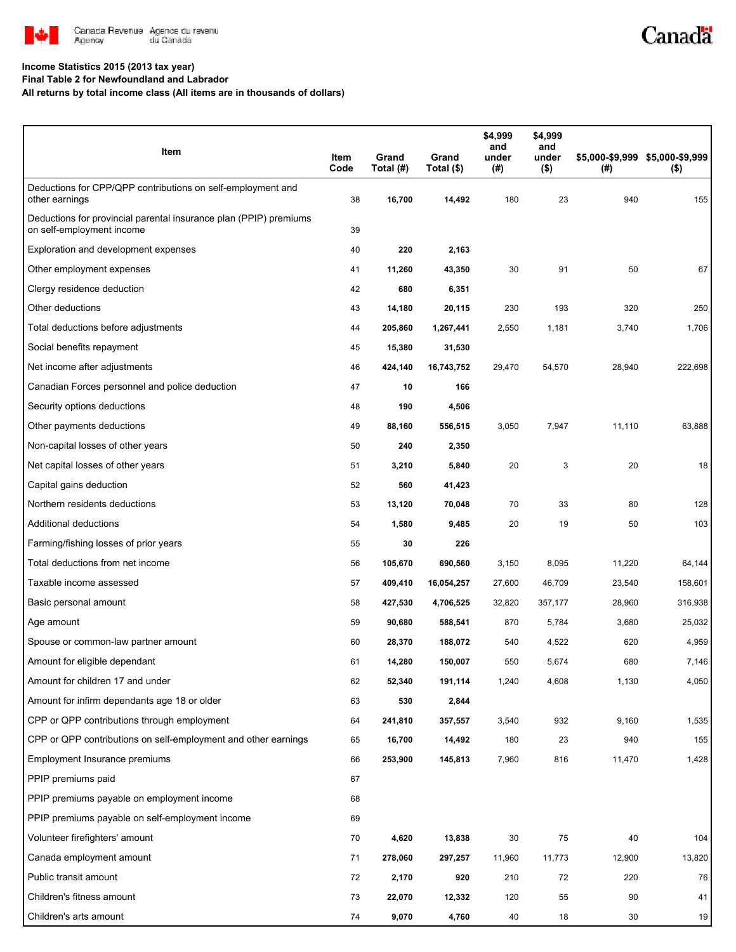

# Canadä

### **Income Statistics 2015 (2013 tax year)**

**Final Table 2 for Newfoundland and Labrador**

**All returns by total income class (All items are in thousands of dollars)**

| Item                                                                                           | Item<br>Code | Grand<br>Total (#) | Grand<br>Total (\$) | \$4,999<br>and<br>under<br>(#) | \$4,999<br>and<br>under<br>$($ \$) | (# )   | \$5,000-\$9,999 \$5,000-\$9,999<br>$($ \$) |
|------------------------------------------------------------------------------------------------|--------------|--------------------|---------------------|--------------------------------|------------------------------------|--------|--------------------------------------------|
| Deductions for CPP/QPP contributions on self-employment and<br>other earnings                  | 38           | 16,700             | 14,492              | 180                            | 23                                 | 940    | 155                                        |
| Deductions for provincial parental insurance plan (PPIP) premiums<br>on self-employment income | 39           |                    |                     |                                |                                    |        |                                            |
| Exploration and development expenses                                                           | 40           | 220                | 2,163               |                                |                                    |        |                                            |
| Other employment expenses                                                                      | 41           | 11,260             | 43,350              | 30                             | 91                                 | 50     | 67                                         |
| Clergy residence deduction                                                                     | 42           | 680                | 6,351               |                                |                                    |        |                                            |
| Other deductions                                                                               | 43           | 14,180             | 20,115              | 230                            | 193                                | 320    | 250                                        |
| Total deductions before adjustments                                                            | 44           | 205,860            | 1,267,441           | 2,550                          | 1,181                              | 3,740  | 1,706                                      |
| Social benefits repayment                                                                      | 45           | 15,380             | 31,530              |                                |                                    |        |                                            |
| Net income after adjustments                                                                   | 46           | 424,140            | 16,743,752          | 29,470                         | 54,570                             | 28,940 | 222,698                                    |
| Canadian Forces personnel and police deduction                                                 | 47           | 10                 | 166                 |                                |                                    |        |                                            |
| Security options deductions                                                                    | 48           | 190                | 4,506               |                                |                                    |        |                                            |
| Other payments deductions                                                                      | 49           | 88,160             | 556,515             | 3,050                          | 7,947                              | 11,110 | 63,888                                     |
| Non-capital losses of other years                                                              | 50           | 240                | 2,350               |                                |                                    |        |                                            |
| Net capital losses of other years                                                              | 51           | 3,210              | 5,840               | 20                             | 3                                  | 20     | 18                                         |
| Capital gains deduction                                                                        | 52           | 560                | 41,423              |                                |                                    |        |                                            |
| Northern residents deductions                                                                  | 53           | 13,120             | 70,048              | 70                             | 33                                 | 80     | 128                                        |
| Additional deductions                                                                          | 54           | 1,580              | 9,485               | 20                             | 19                                 | 50     | 103                                        |
| Farming/fishing losses of prior years                                                          | 55           | 30                 | 226                 |                                |                                    |        |                                            |
| Total deductions from net income                                                               | 56           | 105,670            | 690,560             | 3,150                          | 8,095                              | 11,220 | 64,144                                     |
| Taxable income assessed                                                                        | 57           | 409,410            | 16,054,257          | 27,600                         | 46,709                             | 23,540 | 158,601                                    |
| Basic personal amount                                                                          | 58           | 427,530            | 4,706,525           | 32,820                         | 357,177                            | 28,960 | 316,938                                    |
| Age amount                                                                                     | 59           | 90,680             | 588,541             | 870                            | 5,784                              | 3,680  | 25,032                                     |
| Spouse or common-law partner amount                                                            | 60           | 28,370             | 188,072             | 540                            | 4,522                              | 620    | 4,959                                      |
| Amount for eligible dependant                                                                  | 61           | 14,280             | 150,007             | 550                            | 5,674                              | 680    | 7,146                                      |
| Amount for children 17 and under                                                               | 62           | 52,340             | 191,114             | 1,240                          | 4,608                              | 1,130  | 4,050                                      |
| Amount for infirm dependants age 18 or older                                                   | 63           | 530                | 2,844               |                                |                                    |        |                                            |
| CPP or QPP contributions through employment                                                    | 64           | 241,810            | 357,557             | 3,540                          | 932                                | 9,160  | 1,535                                      |
| CPP or QPP contributions on self-employment and other earnings                                 | 65           | 16,700             | 14,492              | 180                            | 23                                 | 940    | 155                                        |
| Employment Insurance premiums                                                                  | 66           | 253,900            | 145,813             | 7,960                          | 816                                | 11,470 | 1,428                                      |
| PPIP premiums paid                                                                             | 67           |                    |                     |                                |                                    |        |                                            |
| PPIP premiums payable on employment income                                                     | 68           |                    |                     |                                |                                    |        |                                            |
| PPIP premiums payable on self-employment income                                                | 69           |                    |                     |                                |                                    |        |                                            |
| Volunteer firefighters' amount                                                                 | 70           | 4,620              | 13,838              | 30                             | 75                                 | 40     | 104                                        |
| Canada employment amount                                                                       | 71           | 278,060            | 297,257             | 11,960                         | 11,773                             | 12,900 | 13,820                                     |
| Public transit amount                                                                          | 72           | 2,170              | 920                 | 210                            | 72                                 | 220    | 76                                         |
| Children's fitness amount                                                                      | 73           | 22,070             | 12,332              | 120                            | 55                                 | 90     | 41                                         |
| Children's arts amount                                                                         | 74           | 9,070              | 4,760               | 40                             | 18                                 | 30     | 19                                         |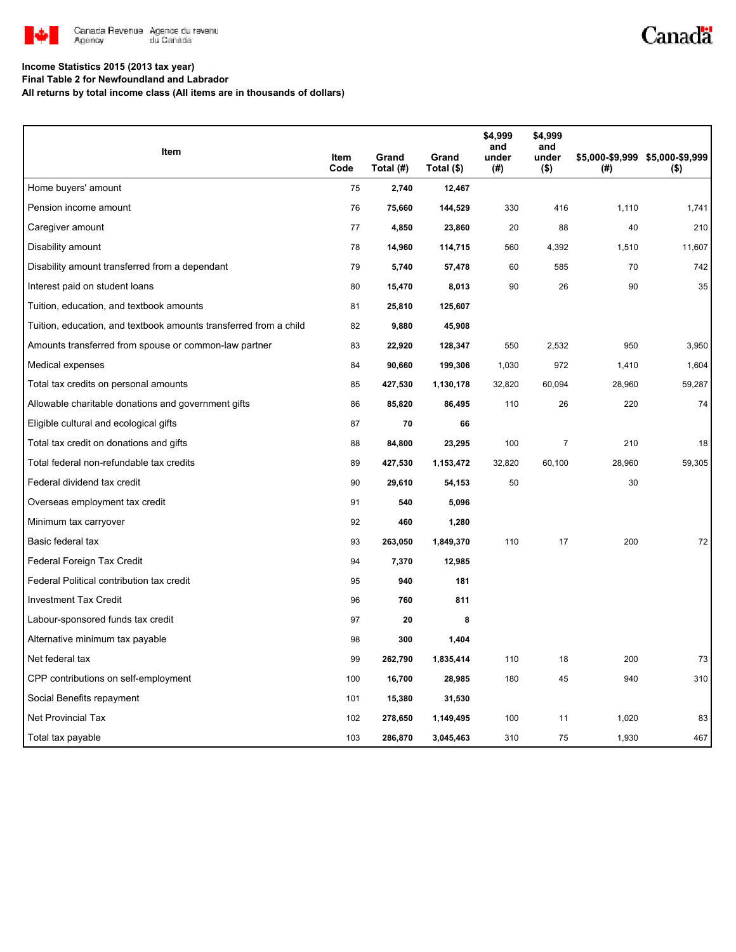

# Canadä

#### **Income Statistics 2015 (2013 tax year)**

**Final Table 2 for Newfoundland and Labrador**

**All returns by total income class (All items are in thousands of dollars)**

| Item                                                              |              | Grand     | Grand      | \$4,999<br>and<br>under | \$4,999<br>and<br>under |        | \$5,000-\$9,999 \$5,000-\$9,999 |
|-------------------------------------------------------------------|--------------|-----------|------------|-------------------------|-------------------------|--------|---------------------------------|
|                                                                   | Item<br>Code | Total (#) | Total (\$) | $($ #)                  | $($ \$)                 | (#)    | $($ \$)                         |
| Home buyers' amount                                               | 75           | 2,740     | 12,467     |                         |                         |        |                                 |
| Pension income amount                                             | 76           | 75,660    | 144,529    | 330                     | 416                     | 1,110  | 1,741                           |
| Caregiver amount                                                  | 77           | 4,850     | 23,860     | 20                      | 88                      | 40     | 210                             |
| Disability amount                                                 | 78           | 14,960    | 114,715    | 560                     | 4,392                   | 1,510  | 11,607                          |
| Disability amount transferred from a dependant                    | 79           | 5,740     | 57,478     | 60                      | 585                     | 70     | 742                             |
| Interest paid on student loans                                    | 80           | 15,470    | 8,013      | 90                      | 26                      | 90     | 35                              |
| Tuition, education, and textbook amounts                          | 81           | 25,810    | 125,607    |                         |                         |        |                                 |
| Tuition, education, and textbook amounts transferred from a child | 82           | 9,880     | 45,908     |                         |                         |        |                                 |
| Amounts transferred from spouse or common-law partner             | 83           | 22,920    | 128,347    | 550                     | 2,532                   | 950    | 3,950                           |
| Medical expenses                                                  | 84           | 90,660    | 199,306    | 1,030                   | 972                     | 1,410  | 1,604                           |
| Total tax credits on personal amounts                             | 85           | 427,530   | 1,130,178  | 32,820                  | 60,094                  | 28,960 | 59,287                          |
| Allowable charitable donations and government gifts               | 86           | 85,820    | 86,495     | 110                     | 26                      | 220    | 74                              |
| Eligible cultural and ecological gifts                            | 87           | 70        | 66         |                         |                         |        |                                 |
| Total tax credit on donations and gifts                           | 88           | 84,800    | 23,295     | 100                     | $\overline{7}$          | 210    | 18                              |
| Total federal non-refundable tax credits                          | 89           | 427,530   | 1,153,472  | 32,820                  | 60,100                  | 28,960 | 59,305                          |
| Federal dividend tax credit                                       | 90           | 29,610    | 54,153     | 50                      |                         | 30     |                                 |
| Overseas employment tax credit                                    | 91           | 540       | 5,096      |                         |                         |        |                                 |
| Minimum tax carryover                                             | 92           | 460       | 1,280      |                         |                         |        |                                 |
| Basic federal tax                                                 | 93           | 263,050   | 1,849,370  | 110                     | 17                      | 200    | 72                              |
| Federal Foreign Tax Credit                                        | 94           | 7,370     | 12,985     |                         |                         |        |                                 |
| Federal Political contribution tax credit                         | 95           | 940       | 181        |                         |                         |        |                                 |
| <b>Investment Tax Credit</b>                                      | 96           | 760       | 811        |                         |                         |        |                                 |
| Labour-sponsored funds tax credit                                 | 97           | 20        | 8          |                         |                         |        |                                 |
| Alternative minimum tax payable                                   | 98           | 300       | 1,404      |                         |                         |        |                                 |
| Net federal tax                                                   | 99           | 262,790   | 1,835,414  | 110                     | 18                      | 200    | 73                              |
| CPP contributions on self-employment                              | 100          | 16,700    | 28,985     | 180                     | 45                      | 940    | 310                             |
| Social Benefits repayment                                         | 101          | 15,380    | 31,530     |                         |                         |        |                                 |
| <b>Net Provincial Tax</b>                                         | 102          | 278,650   | 1,149,495  | 100                     | 11                      | 1,020  | 83                              |
| Total tax payable                                                 | 103          | 286,870   | 3,045,463  | 310                     | 75                      | 1,930  | 467                             |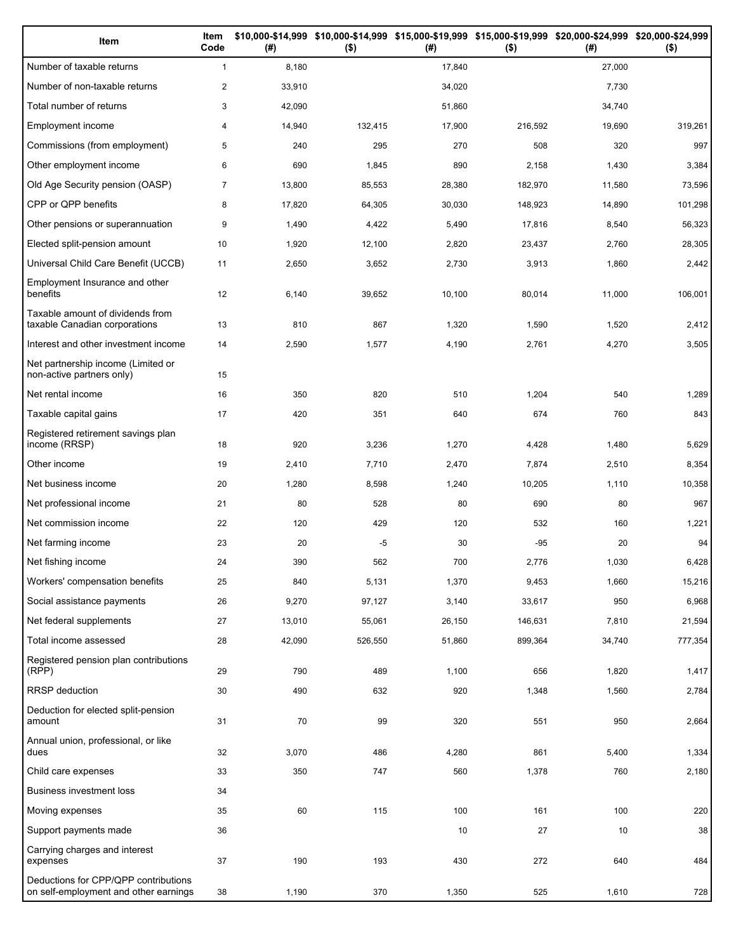| Item                                                                          | Item<br>Code   | (#)    | $($ \$) | (#)    | \$10,000-\$14,999 \$10,000-\$14,999 \$15,000-\$19,999 \$15,000-\$19,999 \$20,000-\$24,999 \$20,000-\$24,999<br>$($ \$) | (#)    | $($ \$) |
|-------------------------------------------------------------------------------|----------------|--------|---------|--------|------------------------------------------------------------------------------------------------------------------------|--------|---------|
| Number of taxable returns                                                     | $\mathbf{1}$   | 8,180  |         | 17,840 |                                                                                                                        | 27,000 |         |
| Number of non-taxable returns                                                 | $\overline{2}$ | 33,910 |         | 34,020 |                                                                                                                        | 7,730  |         |
| Total number of returns                                                       | 3              | 42,090 |         | 51,860 |                                                                                                                        | 34,740 |         |
| Employment income                                                             | 4              | 14,940 | 132,415 | 17,900 | 216,592                                                                                                                | 19,690 | 319,261 |
| Commissions (from employment)                                                 | 5              | 240    | 295     | 270    | 508                                                                                                                    | 320    | 997     |
| Other employment income                                                       | 6              | 690    | 1,845   | 890    | 2,158                                                                                                                  | 1,430  | 3,384   |
| Old Age Security pension (OASP)                                               | $\overline{7}$ | 13,800 | 85,553  | 28,380 | 182,970                                                                                                                | 11,580 | 73,596  |
| CPP or QPP benefits                                                           | 8              | 17,820 | 64,305  | 30,030 | 148,923                                                                                                                | 14,890 | 101,298 |
| Other pensions or superannuation                                              | 9              | 1,490  | 4,422   | 5,490  | 17,816                                                                                                                 | 8,540  | 56,323  |
| Elected split-pension amount                                                  | 10             | 1,920  | 12,100  | 2,820  | 23,437                                                                                                                 | 2,760  | 28,305  |
| Universal Child Care Benefit (UCCB)                                           | 11             | 2,650  | 3,652   | 2,730  | 3,913                                                                                                                  | 1,860  | 2,442   |
| Employment Insurance and other<br>benefits                                    | 12             | 6,140  | 39,652  | 10,100 | 80,014                                                                                                                 | 11,000 | 106,001 |
| Taxable amount of dividends from<br>taxable Canadian corporations             | 13             | 810    | 867     | 1,320  | 1,590                                                                                                                  | 1,520  | 2,412   |
| Interest and other investment income                                          | 14             | 2,590  | 1,577   | 4,190  | 2,761                                                                                                                  | 4,270  | 3,505   |
| Net partnership income (Limited or<br>non-active partners only)               | 15             |        |         |        |                                                                                                                        |        |         |
| Net rental income                                                             | 16             | 350    | 820     | 510    | 1,204                                                                                                                  | 540    | 1,289   |
| Taxable capital gains                                                         | 17             | 420    | 351     | 640    | 674                                                                                                                    | 760    | 843     |
| Registered retirement savings plan<br>income (RRSP)                           | 18             | 920    | 3,236   | 1,270  | 4,428                                                                                                                  | 1,480  | 5,629   |
| Other income                                                                  | 19             | 2,410  | 7,710   | 2,470  | 7,874                                                                                                                  | 2,510  | 8,354   |
| Net business income                                                           | 20             | 1,280  | 8,598   | 1,240  | 10,205                                                                                                                 | 1,110  | 10,358  |
| Net professional income                                                       | 21             | 80     | 528     | 80     | 690                                                                                                                    | 80     | 967     |
| Net commission income                                                         | 22             | 120    | 429     | 120    | 532                                                                                                                    | 160    | 1,221   |
| Net farming income                                                            | 23             | 20     | -5      | 30     | $-95$                                                                                                                  | 20     | 94      |
| Net fishing income                                                            | 24             | 390    | 562     | 700    | 2,776                                                                                                                  | 1,030  | 6,428   |
| Workers' compensation benefits                                                | 25             | 840    | 5,131   | 1,370  | 9,453                                                                                                                  | 1,660  | 15,216  |
| Social assistance payments                                                    | 26             | 9,270  | 97,127  | 3,140  | 33,617                                                                                                                 | 950    | 6,968   |
| Net federal supplements                                                       | 27             | 13,010 | 55,061  | 26,150 | 146,631                                                                                                                | 7,810  | 21,594  |
| Total income assessed                                                         | 28             | 42,090 | 526,550 | 51,860 | 899,364                                                                                                                | 34,740 | 777,354 |
| Registered pension plan contributions<br>(RPP)                                | 29             | 790    | 489     | 1,100  | 656                                                                                                                    | 1,820  | 1,417   |
| RRSP deduction                                                                | 30             | 490    | 632     | 920    | 1,348                                                                                                                  | 1,560  | 2,784   |
| Deduction for elected split-pension<br>amount                                 | 31             | 70     | 99      | 320    | 551                                                                                                                    | 950    | 2,664   |
| Annual union, professional, or like<br>dues                                   | 32             | 3,070  | 486     | 4,280  | 861                                                                                                                    | 5,400  | 1,334   |
| Child care expenses                                                           | 33             | 350    | 747     | 560    | 1,378                                                                                                                  | 760    | 2,180   |
| Business investment loss                                                      | 34             |        |         |        |                                                                                                                        |        |         |
| Moving expenses                                                               | 35             | 60     | 115     | 100    | 161                                                                                                                    | 100    | 220     |
| Support payments made                                                         | 36             |        |         | 10     | 27                                                                                                                     | 10     | 38      |
| Carrying charges and interest<br>expenses                                     | 37             | 190    | 193     | 430    | 272                                                                                                                    | 640    | 484     |
| Deductions for CPP/QPP contributions<br>on self-employment and other earnings | 38             | 1,190  | 370     | 1,350  | 525                                                                                                                    | 1,610  | 728     |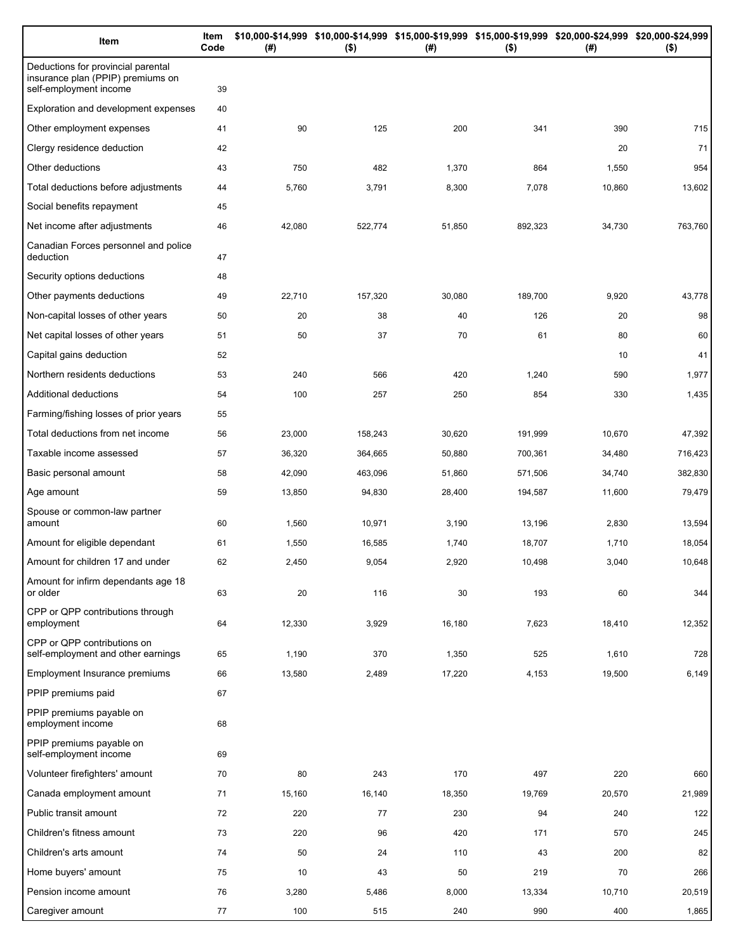| Item                                                                                              | Item<br>Code | (# )   | \$10,000-\$14,999 \$10,000-\$14,999 \$15,000-\$19,999 \$15,000-\$19,999 \$20,000-\$24,999 \$20,000-\$24,999<br>$($ \$) | (#)    | $($ \$) | (# )   | $($ \$) |
|---------------------------------------------------------------------------------------------------|--------------|--------|------------------------------------------------------------------------------------------------------------------------|--------|---------|--------|---------|
| Deductions for provincial parental<br>insurance plan (PPIP) premiums on<br>self-employment income | 39           |        |                                                                                                                        |        |         |        |         |
| Exploration and development expenses                                                              | 40           |        |                                                                                                                        |        |         |        |         |
| Other employment expenses                                                                         | 41           | 90     | 125                                                                                                                    | 200    | 341     | 390    | 715     |
| Clergy residence deduction                                                                        | 42           |        |                                                                                                                        |        |         | 20     | 71      |
| Other deductions                                                                                  | 43           | 750    | 482                                                                                                                    | 1,370  | 864     | 1,550  | 954     |
| Total deductions before adjustments                                                               | 44           | 5,760  | 3,791                                                                                                                  | 8,300  | 7,078   | 10,860 | 13,602  |
| Social benefits repayment                                                                         | 45           |        |                                                                                                                        |        |         |        |         |
| Net income after adjustments                                                                      | 46           | 42,080 | 522,774                                                                                                                | 51,850 | 892,323 | 34,730 | 763,760 |
| Canadian Forces personnel and police<br>deduction                                                 | 47           |        |                                                                                                                        |        |         |        |         |
| Security options deductions                                                                       | 48           |        |                                                                                                                        |        |         |        |         |
| Other payments deductions                                                                         | 49           | 22,710 | 157,320                                                                                                                | 30,080 | 189,700 | 9,920  | 43,778  |
| Non-capital losses of other years                                                                 | 50           | 20     | 38                                                                                                                     | 40     | 126     | 20     | 98      |
| Net capital losses of other years                                                                 | 51           | 50     | 37                                                                                                                     | 70     | 61      | 80     | 60      |
| Capital gains deduction                                                                           | 52           |        |                                                                                                                        |        |         | 10     | 41      |
| Northern residents deductions                                                                     | 53           | 240    | 566                                                                                                                    | 420    | 1,240   | 590    | 1,977   |
| Additional deductions                                                                             | 54           | 100    | 257                                                                                                                    | 250    | 854     | 330    | 1,435   |
| Farming/fishing losses of prior years                                                             | 55           |        |                                                                                                                        |        |         |        |         |
| Total deductions from net income                                                                  | 56           | 23,000 | 158,243                                                                                                                | 30,620 | 191,999 | 10,670 | 47,392  |
| Taxable income assessed                                                                           | 57           | 36,320 | 364,665                                                                                                                | 50,880 | 700,361 | 34,480 | 716,423 |
| Basic personal amount                                                                             | 58           | 42,090 | 463,096                                                                                                                | 51,860 | 571,506 | 34,740 | 382,830 |
| Age amount                                                                                        | 59           | 13,850 | 94,830                                                                                                                 | 28,400 | 194,587 | 11,600 | 79,479  |
| Spouse or common-law partner<br>amount                                                            | 60           | 1,560  | 10,971                                                                                                                 | 3,190  | 13,196  | 2,830  | 13,594  |
| Amount for eligible dependant                                                                     | 61           | 1,550  | 16,585                                                                                                                 | 1,740  | 18,707  | 1,710  | 18,054  |
| Amount for children 17 and under                                                                  | 62           | 2,450  | 9,054                                                                                                                  | 2,920  | 10.498  | 3,040  | 10,648  |
| Amount for infirm dependants age 18<br>or older                                                   | 63           | 20     | 116                                                                                                                    | 30     | 193     | 60     | 344     |
| CPP or QPP contributions through<br>employment                                                    | 64           | 12,330 | 3,929                                                                                                                  | 16,180 | 7,623   | 18,410 | 12,352  |
| CPP or QPP contributions on<br>self-employment and other earnings                                 | 65           | 1,190  | 370                                                                                                                    | 1,350  | 525     | 1,610  | 728     |
| <b>Employment Insurance premiums</b>                                                              | 66           | 13,580 | 2,489                                                                                                                  | 17,220 | 4,153   | 19,500 | 6,149   |
| PPIP premiums paid                                                                                | 67           |        |                                                                                                                        |        |         |        |         |
| PPIP premiums payable on<br>employment income                                                     | 68           |        |                                                                                                                        |        |         |        |         |
| PPIP premiums payable on<br>self-employment income                                                | 69           |        |                                                                                                                        |        |         |        |         |
| Volunteer firefighters' amount                                                                    | 70           | 80     | 243                                                                                                                    | 170    | 497     | 220    | 660     |
| Canada employment amount                                                                          | 71           | 15,160 | 16,140                                                                                                                 | 18,350 | 19,769  | 20,570 | 21,989  |
| Public transit amount                                                                             | 72           | 220    | 77                                                                                                                     | 230    | 94      | 240    | 122     |
| Children's fitness amount                                                                         | 73           | 220    | 96                                                                                                                     | 420    | 171     | 570    | 245     |
| Children's arts amount                                                                            | 74           | 50     | 24                                                                                                                     | 110    | 43      | 200    | 82      |
| Home buyers' amount                                                                               | 75           | 10     | 43                                                                                                                     | 50     | 219     | 70     | 266     |
| Pension income amount                                                                             | 76           | 3,280  | 5,486                                                                                                                  | 8,000  | 13,334  | 10,710 | 20,519  |
| Caregiver amount                                                                                  | 77           | 100    | 515                                                                                                                    | 240    | 990     | 400    | 1,865   |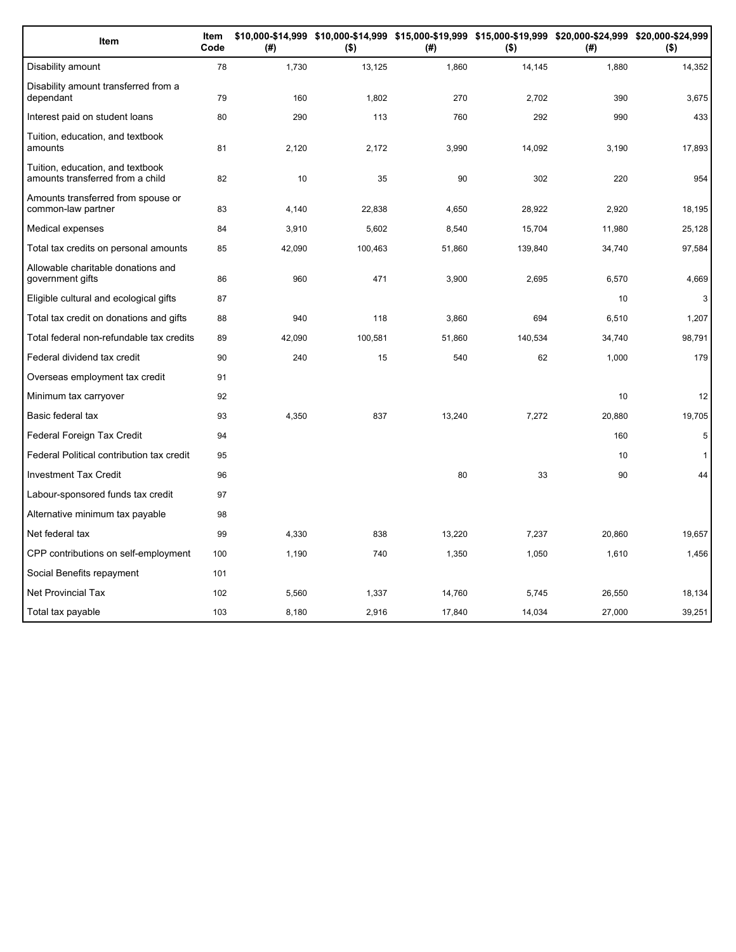| Item                                                                 | Item<br>Code | (#)    | $($ \$) | (#)    | $($ \$) | \$10,000-\$14,999 \$10,000-\$14,999 \$15,000-\$19,999 \$15,000-\$19,999 \$20,000-\$24,999 \$20,000-\$24,999<br>(# ) | $($ \$)      |
|----------------------------------------------------------------------|--------------|--------|---------|--------|---------|---------------------------------------------------------------------------------------------------------------------|--------------|
| Disability amount                                                    | 78           | 1,730  | 13,125  | 1,860  | 14,145  | 1,880                                                                                                               | 14,352       |
| Disability amount transferred from a<br>dependant                    | 79           | 160    | 1,802   | 270    | 2,702   | 390                                                                                                                 | 3,675        |
| Interest paid on student loans                                       | 80           | 290    | 113     | 760    | 292     | 990                                                                                                                 | 433          |
| Tuition, education, and textbook<br>amounts                          | 81           | 2,120  | 2,172   | 3,990  | 14,092  | 3,190                                                                                                               | 17,893       |
| Tuition, education, and textbook<br>amounts transferred from a child | 82           | 10     | 35      | 90     | 302     | 220                                                                                                                 | 954          |
| Amounts transferred from spouse or<br>common-law partner             | 83           | 4,140  | 22,838  | 4,650  | 28,922  | 2,920                                                                                                               | 18,195       |
| Medical expenses                                                     | 84           | 3,910  | 5,602   | 8,540  | 15,704  | 11,980                                                                                                              | 25,128       |
| Total tax credits on personal amounts                                | 85           | 42,090 | 100,463 | 51,860 | 139,840 | 34,740                                                                                                              | 97,584       |
| Allowable charitable donations and<br>government gifts               | 86           | 960    | 471     | 3,900  | 2,695   | 6,570                                                                                                               | 4,669        |
| Eligible cultural and ecological gifts                               | 87           |        |         |        |         | 10                                                                                                                  | 3            |
| Total tax credit on donations and gifts                              | 88           | 940    | 118     | 3,860  | 694     | 6,510                                                                                                               | 1,207        |
| Total federal non-refundable tax credits                             | 89           | 42,090 | 100,581 | 51,860 | 140,534 | 34,740                                                                                                              | 98,791       |
| Federal dividend tax credit                                          | 90           | 240    | 15      | 540    | 62      | 1,000                                                                                                               | 179          |
| Overseas employment tax credit                                       | 91           |        |         |        |         |                                                                                                                     |              |
| Minimum tax carryover                                                | 92           |        |         |        |         | 10                                                                                                                  | 12           |
| Basic federal tax                                                    | 93           | 4,350  | 837     | 13,240 | 7,272   | 20,880                                                                                                              | 19,705       |
| Federal Foreign Tax Credit                                           | 94           |        |         |        |         | 160                                                                                                                 | 5            |
| Federal Political contribution tax credit                            | 95           |        |         |        |         | 10                                                                                                                  | $\mathbf{1}$ |
| <b>Investment Tax Credit</b>                                         | 96           |        |         | 80     | 33      | 90                                                                                                                  | 44           |
| Labour-sponsored funds tax credit                                    | 97           |        |         |        |         |                                                                                                                     |              |
| Alternative minimum tax payable                                      | 98           |        |         |        |         |                                                                                                                     |              |
| Net federal tax                                                      | 99           | 4,330  | 838     | 13,220 | 7,237   | 20,860                                                                                                              | 19,657       |
| CPP contributions on self-employment                                 | 100          | 1,190  | 740     | 1,350  | 1,050   | 1,610                                                                                                               | 1,456        |
| Social Benefits repayment                                            | 101          |        |         |        |         |                                                                                                                     |              |
| <b>Net Provincial Tax</b>                                            | 102          | 5,560  | 1,337   | 14,760 | 5,745   | 26,550                                                                                                              | 18,134       |
| Total tax payable                                                    | 103          | 8,180  | 2,916   | 17,840 | 14,034  | 27,000                                                                                                              | 39,251       |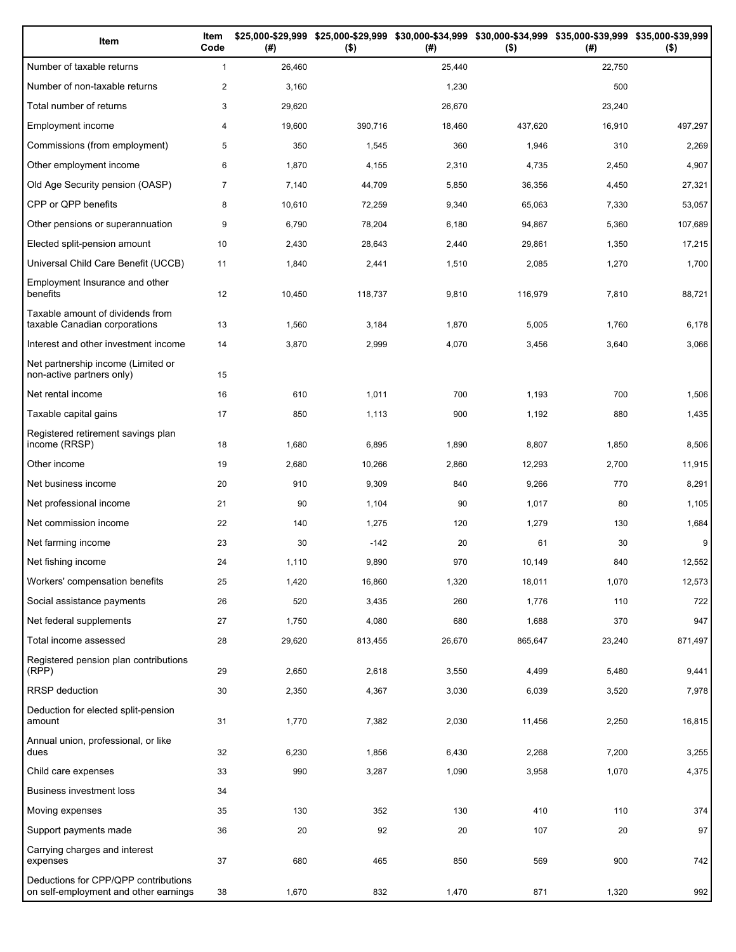| Item                                                                          | Item<br>Code   | (#)    | \$25,000-\$29,999 \$25,000-\$29,999 \$30,000-\$34,999 \$30,000-\$34,999 \$35,000-\$39,999 \$35,000-\$39,999<br>$($ \$) | (#)    | $($ \$) | (#)    | $($ \$) |
|-------------------------------------------------------------------------------|----------------|--------|------------------------------------------------------------------------------------------------------------------------|--------|---------|--------|---------|
| Number of taxable returns                                                     | $\mathbf{1}$   | 26,460 |                                                                                                                        | 25,440 |         | 22,750 |         |
| Number of non-taxable returns                                                 | $\overline{2}$ | 3,160  |                                                                                                                        | 1,230  |         | 500    |         |
| Total number of returns                                                       | 3              | 29,620 |                                                                                                                        | 26,670 |         | 23,240 |         |
| Employment income                                                             | 4              | 19,600 | 390,716                                                                                                                | 18,460 | 437,620 | 16,910 | 497,297 |
| Commissions (from employment)                                                 | 5              | 350    | 1,545                                                                                                                  | 360    | 1,946   | 310    | 2,269   |
| Other employment income                                                       | 6              | 1,870  | 4,155                                                                                                                  | 2,310  | 4,735   | 2,450  | 4,907   |
| Old Age Security pension (OASP)                                               | $\overline{7}$ | 7,140  | 44,709                                                                                                                 | 5,850  | 36,356  | 4,450  | 27,321  |
| CPP or QPP benefits                                                           | 8              | 10,610 | 72,259                                                                                                                 | 9,340  | 65,063  | 7,330  | 53,057  |
| Other pensions or superannuation                                              | 9              | 6,790  | 78,204                                                                                                                 | 6,180  | 94,867  | 5,360  | 107,689 |
| Elected split-pension amount                                                  | 10             | 2,430  | 28,643                                                                                                                 | 2,440  | 29,861  | 1,350  | 17,215  |
| Universal Child Care Benefit (UCCB)                                           | 11             | 1,840  | 2,441                                                                                                                  | 1,510  | 2,085   | 1,270  | 1,700   |
| Employment Insurance and other<br>benefits                                    | 12             | 10,450 | 118,737                                                                                                                | 9,810  | 116,979 | 7,810  | 88,721  |
| Taxable amount of dividends from<br>taxable Canadian corporations             | 13             | 1,560  | 3,184                                                                                                                  | 1,870  | 5,005   | 1,760  | 6,178   |
| Interest and other investment income                                          | 14             | 3,870  | 2,999                                                                                                                  | 4,070  | 3,456   | 3,640  | 3,066   |
| Net partnership income (Limited or<br>non-active partners only)               | 15             |        |                                                                                                                        |        |         |        |         |
| Net rental income                                                             | 16             | 610    | 1,011                                                                                                                  | 700    | 1,193   | 700    | 1,506   |
| Taxable capital gains                                                         | 17             | 850    | 1,113                                                                                                                  | 900    | 1,192   | 880    | 1,435   |
| Registered retirement savings plan<br>income (RRSP)                           | 18             | 1,680  | 6,895                                                                                                                  | 1,890  | 8,807   | 1,850  | 8,506   |
| Other income                                                                  | 19             | 2,680  | 10,266                                                                                                                 | 2,860  | 12,293  | 2,700  | 11,915  |
| Net business income                                                           | 20             | 910    | 9,309                                                                                                                  | 840    | 9,266   | 770    | 8,291   |
| Net professional income                                                       | 21             | 90     | 1,104                                                                                                                  | 90     | 1,017   | 80     | 1,105   |
| Net commission income                                                         | 22             | 140    | 1,275                                                                                                                  | 120    | 1,279   | 130    | 1,684   |
| Net farming income                                                            | 23             | 30     | $-142$                                                                                                                 | 20     | 61      | 30     | 9       |
| Net fishing income                                                            | 24             | 1,110  | 9,890                                                                                                                  | 970    | 10,149  | 840    | 12,552  |
| Workers' compensation benefits                                                | 25             | 1,420  | 16,860                                                                                                                 | 1,320  | 18,011  | 1,070  | 12,573  |
| Social assistance payments                                                    | 26             | 520    | 3,435                                                                                                                  | 260    | 1,776   | 110    | 722     |
| Net federal supplements                                                       | 27             | 1,750  | 4,080                                                                                                                  | 680    | 1,688   | 370    | 947     |
| Total income assessed                                                         | 28             | 29,620 | 813,455                                                                                                                | 26,670 | 865,647 | 23,240 | 871,497 |
| Registered pension plan contributions<br>(RPP)                                | 29             | 2,650  | 2,618                                                                                                                  | 3,550  | 4,499   | 5,480  | 9,441   |
| RRSP deduction                                                                | 30             | 2,350  | 4,367                                                                                                                  | 3,030  | 6,039   | 3,520  | 7,978   |
| Deduction for elected split-pension<br>amount                                 | 31             | 1,770  | 7,382                                                                                                                  | 2,030  | 11,456  | 2,250  | 16,815  |
| Annual union, professional, or like<br>dues                                   | 32             | 6,230  | 1,856                                                                                                                  | 6,430  | 2,268   | 7,200  | 3,255   |
| Child care expenses                                                           | 33             | 990    | 3,287                                                                                                                  | 1,090  | 3,958   | 1,070  | 4,375   |
| Business investment loss                                                      | 34             |        |                                                                                                                        |        |         |        |         |
| Moving expenses                                                               | 35             | 130    | 352                                                                                                                    | 130    | 410     | 110    | 374     |
| Support payments made                                                         | 36             | 20     | 92                                                                                                                     | 20     | 107     | 20     | 97      |
| Carrying charges and interest<br>expenses                                     | 37             | 680    | 465                                                                                                                    | 850    | 569     | 900    | 742     |
| Deductions for CPP/QPP contributions<br>on self-employment and other earnings | 38             | 1,670  | 832                                                                                                                    | 1,470  | 871     | 1,320  | 992     |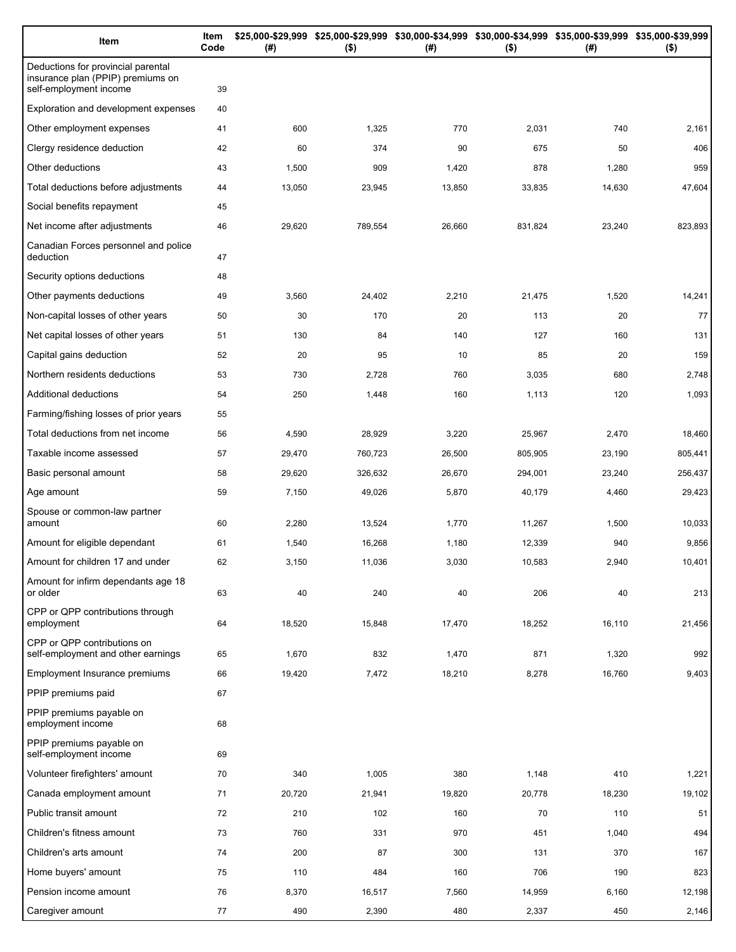| Item                                                                                              | Item<br>Code | (#)    | $($ \$) | \$25,000-\$29,999 \$25,000-\$29,999 \$30,000-\$34,999 \$30,000-\$34,999 \$35,000-\$39,999 \$35,000-\$39,999<br>(#) | $($ \$) | (# )   | $($ \$) |
|---------------------------------------------------------------------------------------------------|--------------|--------|---------|--------------------------------------------------------------------------------------------------------------------|---------|--------|---------|
| Deductions for provincial parental<br>insurance plan (PPIP) premiums on<br>self-employment income | 39           |        |         |                                                                                                                    |         |        |         |
| Exploration and development expenses                                                              | 40           |        |         |                                                                                                                    |         |        |         |
| Other employment expenses                                                                         | 41           | 600    | 1,325   | 770                                                                                                                | 2,031   | 740    | 2,161   |
| Clergy residence deduction                                                                        | 42           | 60     | 374     | 90                                                                                                                 | 675     | 50     | 406     |
| Other deductions                                                                                  | 43           | 1,500  | 909     | 1,420                                                                                                              | 878     | 1,280  | 959     |
| Total deductions before adjustments                                                               | 44           | 13,050 | 23,945  | 13,850                                                                                                             | 33,835  | 14,630 | 47,604  |
| Social benefits repayment                                                                         | 45           |        |         |                                                                                                                    |         |        |         |
| Net income after adjustments                                                                      | 46           | 29,620 | 789,554 | 26,660                                                                                                             | 831,824 | 23,240 | 823,893 |
| Canadian Forces personnel and police<br>deduction                                                 | 47           |        |         |                                                                                                                    |         |        |         |
| Security options deductions                                                                       | 48           |        |         |                                                                                                                    |         |        |         |
| Other payments deductions                                                                         | 49           | 3,560  | 24,402  | 2,210                                                                                                              | 21,475  | 1,520  | 14,241  |
| Non-capital losses of other years                                                                 | 50           | 30     | 170     | 20                                                                                                                 | 113     | 20     | 77      |
| Net capital losses of other years                                                                 | 51           | 130    | 84      | 140                                                                                                                | 127     | 160    | 131     |
| Capital gains deduction                                                                           | 52           | 20     | 95      | 10                                                                                                                 | 85      | 20     | 159     |
| Northern residents deductions                                                                     | 53           | 730    | 2,728   | 760                                                                                                                | 3,035   | 680    | 2,748   |
| Additional deductions                                                                             | 54           | 250    | 1,448   | 160                                                                                                                | 1,113   | 120    | 1,093   |
| Farming/fishing losses of prior years                                                             | 55           |        |         |                                                                                                                    |         |        |         |
| Total deductions from net income                                                                  | 56           | 4,590  | 28,929  | 3,220                                                                                                              | 25,967  | 2,470  | 18,460  |
| Taxable income assessed                                                                           | 57           | 29,470 | 760,723 | 26,500                                                                                                             | 805,905 | 23,190 | 805,441 |
| Basic personal amount                                                                             | 58           | 29,620 | 326,632 | 26,670                                                                                                             | 294,001 | 23,240 | 256,437 |
| Age amount                                                                                        | 59           | 7,150  | 49,026  | 5,870                                                                                                              | 40,179  | 4,460  | 29,423  |
| Spouse or common-law partner<br>amount                                                            | 60           | 2,280  | 13,524  | 1,770                                                                                                              | 11,267  | 1,500  | 10,033  |
| Amount for eligible dependant                                                                     | 61           | 1,540  | 16,268  | 1,180                                                                                                              | 12,339  | 940    | 9,856   |
| Amount for children 17 and under                                                                  | 62           | 3,150  | 11,036  | 3,030                                                                                                              | 10,583  | 2,940  | 10,401  |
| Amount for infirm dependants age 18<br>or older                                                   | 63           | 40     | 240     | 40                                                                                                                 | 206     | 40     | 213     |
| CPP or QPP contributions through<br>employment                                                    | 64           | 18,520 | 15,848  | 17,470                                                                                                             | 18,252  | 16,110 | 21,456  |
| CPP or QPP contributions on<br>self-employment and other earnings                                 | 65           | 1,670  | 832     | 1,470                                                                                                              | 871     | 1,320  | 992     |
| Employment Insurance premiums                                                                     | 66           | 19,420 | 7,472   | 18,210                                                                                                             | 8,278   | 16,760 | 9,403   |
| PPIP premiums paid                                                                                | 67           |        |         |                                                                                                                    |         |        |         |
| PPIP premiums payable on<br>employment income                                                     | 68           |        |         |                                                                                                                    |         |        |         |
| PPIP premiums payable on<br>self-employment income                                                | 69           |        |         |                                                                                                                    |         |        |         |
| Volunteer firefighters' amount                                                                    | 70           | 340    | 1,005   | 380                                                                                                                | 1,148   | 410    | 1,221   |
| Canada employment amount                                                                          | 71           | 20,720 | 21,941  | 19,820                                                                                                             | 20,778  | 18,230 | 19,102  |
| Public transit amount                                                                             | 72           | 210    | 102     | 160                                                                                                                | 70      | 110    | 51      |
| Children's fitness amount                                                                         | 73           | 760    | 331     | 970                                                                                                                | 451     | 1,040  | 494     |
| Children's arts amount                                                                            | 74           | 200    | 87      | 300                                                                                                                | 131     | 370    | 167     |
| Home buyers' amount                                                                               | 75           | 110    | 484     | 160                                                                                                                | 706     | 190    | 823     |
| Pension income amount                                                                             | 76           | 8,370  | 16,517  | 7,560                                                                                                              | 14,959  | 6,160  | 12,198  |
| Caregiver amount                                                                                  | 77           | 490    | 2,390   | 480                                                                                                                | 2,337   | 450    | 2,146   |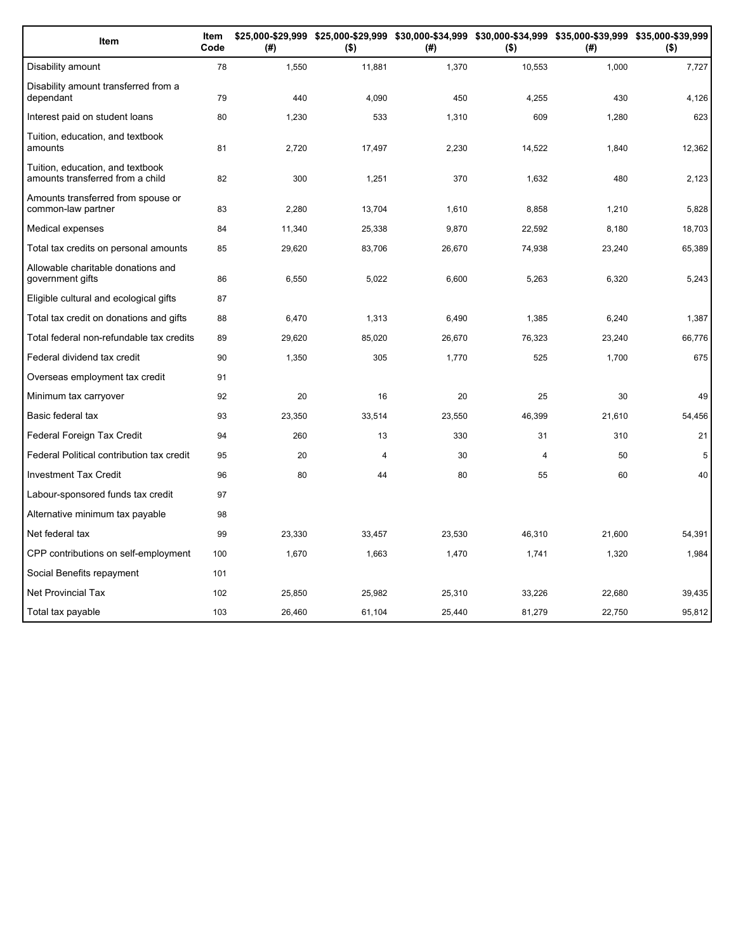| Item                                                                 | Item<br>Code | (#)    | \$25,000-\$29,999 \$25,000-\$29,999 \$30,000-\$34,999 \$30,000-\$34,999 \$35,000-\$39,999 \$35,000-\$39,999<br>$($ \$) | (#)    | $($ \$)        | (# )   | $($ \$) |
|----------------------------------------------------------------------|--------------|--------|------------------------------------------------------------------------------------------------------------------------|--------|----------------|--------|---------|
| Disability amount                                                    | 78           | 1,550  | 11,881                                                                                                                 | 1,370  | 10,553         | 1,000  | 7,727   |
| Disability amount transferred from a<br>dependant                    | 79           | 440    | 4,090                                                                                                                  | 450    | 4,255          | 430    | 4,126   |
| Interest paid on student loans                                       | 80           | 1,230  | 533                                                                                                                    | 1,310  | 609            | 1,280  | 623     |
| Tuition, education, and textbook<br>amounts                          | 81           | 2,720  | 17,497                                                                                                                 | 2,230  | 14,522         | 1,840  | 12,362  |
| Tuition, education, and textbook<br>amounts transferred from a child | 82           | 300    | 1,251                                                                                                                  | 370    | 1,632          | 480    | 2,123   |
| Amounts transferred from spouse or<br>common-law partner             | 83           | 2,280  | 13,704                                                                                                                 | 1,610  | 8,858          | 1,210  | 5,828   |
| Medical expenses                                                     | 84           | 11,340 | 25,338                                                                                                                 | 9,870  | 22,592         | 8,180  | 18,703  |
| Total tax credits on personal amounts                                | 85           | 29,620 | 83,706                                                                                                                 | 26,670 | 74,938         | 23,240 | 65,389  |
| Allowable charitable donations and<br>government gifts               | 86           | 6,550  | 5,022                                                                                                                  | 6,600  | 5,263          | 6,320  | 5,243   |
| Eligible cultural and ecological gifts                               | 87           |        |                                                                                                                        |        |                |        |         |
| Total tax credit on donations and gifts                              | 88           | 6,470  | 1,313                                                                                                                  | 6,490  | 1,385          | 6,240  | 1,387   |
| Total federal non-refundable tax credits                             | 89           | 29,620 | 85,020                                                                                                                 | 26,670 | 76,323         | 23,240 | 66,776  |
| Federal dividend tax credit                                          | 90           | 1,350  | 305                                                                                                                    | 1,770  | 525            | 1,700  | 675     |
| Overseas employment tax credit                                       | 91           |        |                                                                                                                        |        |                |        |         |
| Minimum tax carryover                                                | 92           | 20     | 16                                                                                                                     | 20     | 25             | 30     | 49      |
| Basic federal tax                                                    | 93           | 23,350 | 33,514                                                                                                                 | 23,550 | 46,399         | 21,610 | 54,456  |
| Federal Foreign Tax Credit                                           | 94           | 260    | 13                                                                                                                     | 330    | 31             | 310    | 21      |
| Federal Political contribution tax credit                            | 95           | 20     | 4                                                                                                                      | 30     | $\overline{4}$ | 50     | 5       |
| <b>Investment Tax Credit</b>                                         | 96           | 80     | 44                                                                                                                     | 80     | 55             | 60     | 40      |
| Labour-sponsored funds tax credit                                    | 97           |        |                                                                                                                        |        |                |        |         |
| Alternative minimum tax payable                                      | 98           |        |                                                                                                                        |        |                |        |         |
| Net federal tax                                                      | 99           | 23,330 | 33,457                                                                                                                 | 23,530 | 46,310         | 21,600 | 54,391  |
| CPP contributions on self-employment                                 | 100          | 1,670  | 1,663                                                                                                                  | 1,470  | 1,741          | 1,320  | 1,984   |
| Social Benefits repayment                                            | 101          |        |                                                                                                                        |        |                |        |         |
| <b>Net Provincial Tax</b>                                            | 102          | 25,850 | 25,982                                                                                                                 | 25,310 | 33,226         | 22,680 | 39,435  |
| Total tax payable                                                    | 103          | 26.460 | 61.104                                                                                                                 | 25.440 | 81,279         | 22.750 | 95,812  |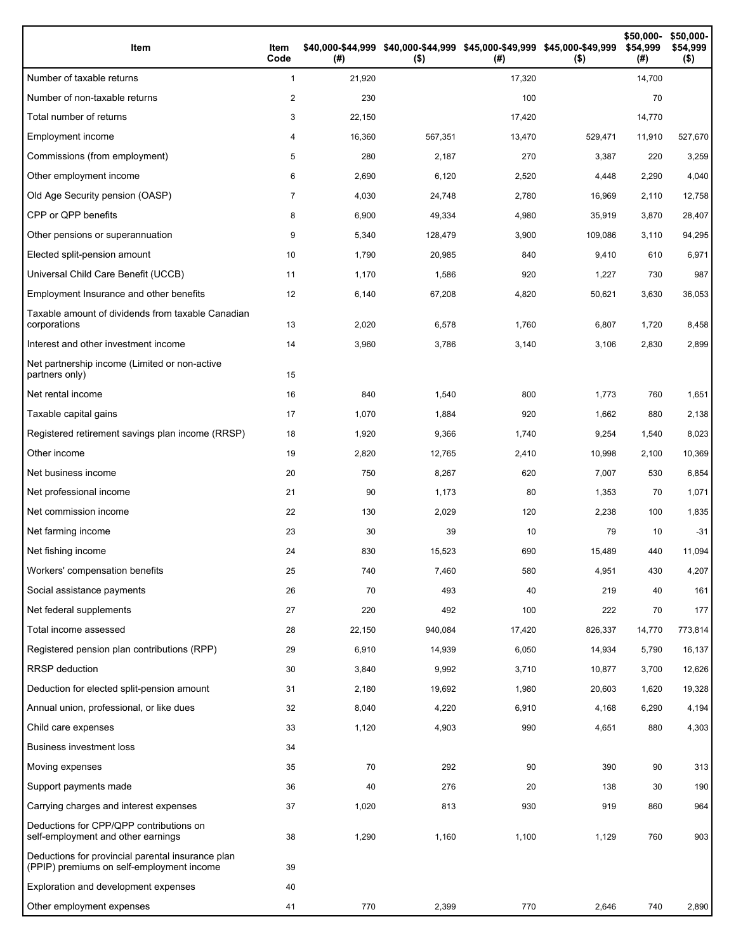| Item                                                                                           | Item<br>Code   | (#)    | \$40,000-\$44,999 \$40,000-\$44,999 \$45,000-\$49,999 \$45,000-\$49,999<br>$($ \$) | (#)    | $($ \$) | \$50,000-<br>\$54,999<br>(# ) | \$50,000-<br>\$54,999<br>$($ \$) |
|------------------------------------------------------------------------------------------------|----------------|--------|------------------------------------------------------------------------------------|--------|---------|-------------------------------|----------------------------------|
| Number of taxable returns                                                                      | $\mathbf{1}$   | 21,920 |                                                                                    | 17,320 |         | 14,700                        |                                  |
| Number of non-taxable returns                                                                  | 2              | 230    |                                                                                    | 100    |         | 70                            |                                  |
| Total number of returns                                                                        | 3              | 22,150 |                                                                                    | 17,420 |         | 14,770                        |                                  |
| Employment income                                                                              | 4              | 16,360 | 567,351                                                                            | 13,470 | 529,471 | 11,910                        | 527,670                          |
| Commissions (from employment)                                                                  | 5              | 280    | 2,187                                                                              | 270    | 3,387   | 220                           | 3,259                            |
| Other employment income                                                                        | 6              | 2,690  | 6,120                                                                              | 2,520  | 4,448   | 2,290                         | 4,040                            |
| Old Age Security pension (OASP)                                                                | $\overline{7}$ | 4,030  | 24,748                                                                             | 2,780  | 16,969  | 2,110                         | 12,758                           |
| CPP or QPP benefits                                                                            | 8              | 6,900  | 49,334                                                                             | 4,980  | 35,919  | 3,870                         | 28,407                           |
| Other pensions or superannuation                                                               | 9              | 5,340  | 128,479                                                                            | 3,900  | 109,086 | 3,110                         | 94,295                           |
| Elected split-pension amount                                                                   | 10             | 1,790  | 20,985                                                                             | 840    | 9,410   | 610                           | 6,971                            |
| Universal Child Care Benefit (UCCB)                                                            | 11             | 1,170  | 1,586                                                                              | 920    | 1,227   | 730                           | 987                              |
| Employment Insurance and other benefits                                                        | 12             | 6,140  | 67,208                                                                             | 4,820  | 50,621  | 3,630                         | 36,053                           |
| Taxable amount of dividends from taxable Canadian<br>corporations                              | 13             | 2,020  | 6,578                                                                              | 1,760  | 6,807   | 1,720                         | 8,458                            |
| Interest and other investment income                                                           | 14             | 3,960  | 3,786                                                                              | 3,140  | 3,106   | 2,830                         | 2,899                            |
| Net partnership income (Limited or non-active<br>partners only)                                | 15             |        |                                                                                    |        |         |                               |                                  |
| Net rental income                                                                              | 16             | 840    | 1,540                                                                              | 800    | 1,773   | 760                           | 1,651                            |
| Taxable capital gains                                                                          | 17             | 1,070  | 1,884                                                                              | 920    | 1,662   | 880                           | 2,138                            |
| Registered retirement savings plan income (RRSP)                                               | 18             | 1,920  | 9,366                                                                              | 1,740  | 9,254   | 1,540                         | 8,023                            |
| Other income                                                                                   | 19             | 2,820  | 12,765                                                                             | 2,410  | 10,998  | 2,100                         | 10,369                           |
| Net business income                                                                            | 20             | 750    | 8,267                                                                              | 620    | 7,007   | 530                           | 6,854                            |
| Net professional income                                                                        | 21             | 90     | 1,173                                                                              | 80     | 1,353   | 70                            | 1,071                            |
| Net commission income                                                                          | 22             | 130    | 2,029                                                                              | 120    | 2,238   | 100                           | 1,835                            |
| Net farming income                                                                             | 23             | 30     | 39                                                                                 | 10     | 79      | 10                            | $-31$                            |
| Net fishing income                                                                             | 24             | 830    | 15,523                                                                             | 690    | 15,489  | 440                           | 11,094                           |
| Workers' compensation benefits                                                                 | 25             | 740    | 7,460                                                                              | 580    | 4,951   | 430                           | 4,207                            |
| Social assistance payments                                                                     | 26             | 70     | 493                                                                                | 40     | 219     | 40                            | 161                              |
| Net federal supplements                                                                        | 27             | 220    | 492                                                                                | 100    | 222     | 70                            | 177                              |
| Total income assessed                                                                          | 28             | 22,150 | 940,084                                                                            | 17,420 | 826,337 | 14,770                        | 773,814                          |
| Registered pension plan contributions (RPP)                                                    | 29             | 6,910  | 14,939                                                                             | 6,050  | 14,934  | 5,790                         | 16,137                           |
| RRSP deduction                                                                                 | 30             | 3,840  | 9,992                                                                              | 3,710  | 10,877  | 3,700                         | 12,626                           |
| Deduction for elected split-pension amount                                                     | 31             | 2,180  | 19,692                                                                             | 1,980  | 20,603  | 1,620                         | 19,328                           |
| Annual union, professional, or like dues                                                       | 32             | 8,040  | 4,220                                                                              | 6,910  | 4,168   | 6,290                         | 4,194                            |
| Child care expenses                                                                            | 33             | 1,120  | 4,903                                                                              | 990    | 4,651   | 880                           | 4,303                            |
| <b>Business investment loss</b>                                                                | 34             |        |                                                                                    |        |         |                               |                                  |
| Moving expenses                                                                                | 35             | 70     | 292                                                                                | 90     | 390     | 90                            | 313                              |
| Support payments made                                                                          | 36             | 40     | 276                                                                                | 20     | 138     | 30                            | 190                              |
| Carrying charges and interest expenses                                                         | 37             | 1,020  | 813                                                                                | 930    | 919     | 860                           | 964                              |
| Deductions for CPP/QPP contributions on<br>self-employment and other earnings                  | 38             | 1,290  | 1,160                                                                              | 1,100  | 1,129   | 760                           | 903                              |
| Deductions for provincial parental insurance plan<br>(PPIP) premiums on self-employment income | 39             |        |                                                                                    |        |         |                               |                                  |
| Exploration and development expenses                                                           | 40             |        |                                                                                    |        |         |                               |                                  |
| Other employment expenses                                                                      | 41             | 770    | 2,399                                                                              | 770    | 2,646   | 740                           | 2,890                            |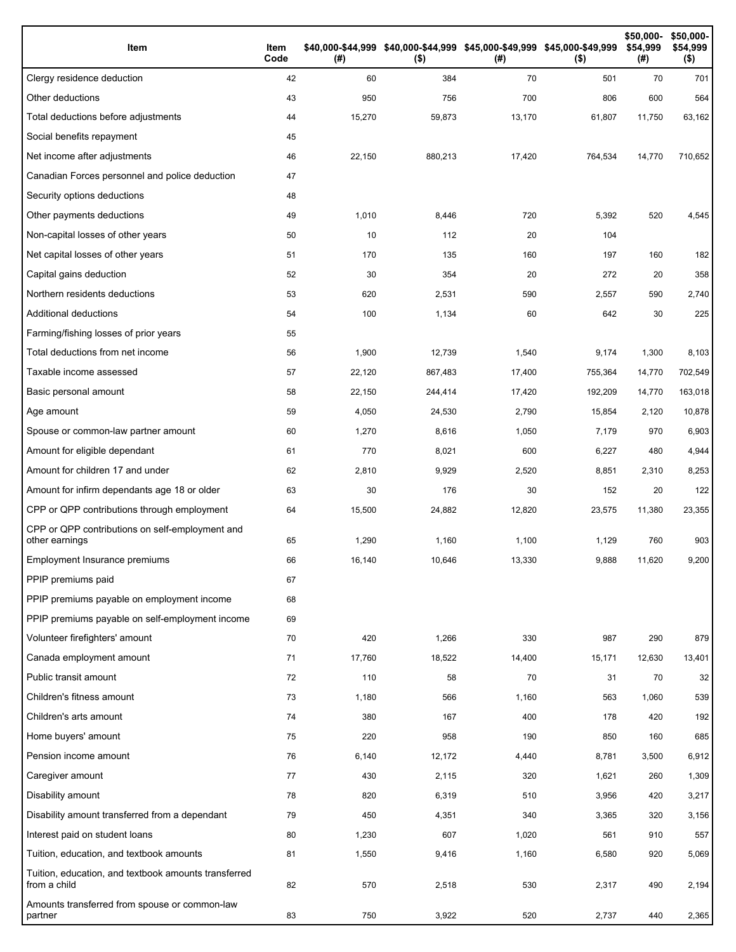| Item                                                                 | Item<br>Code | (# )   | \$40,000-\$44,999 \$40,000-\$44,999 \$45,000-\$49,999 \$45,000-\$49,999<br>$($ \$) | (# )   | $($ \$) | \$50,000-<br>\$54,999<br>(#) | \$50,000-<br>\$54,999<br>$($ \$) |
|----------------------------------------------------------------------|--------------|--------|------------------------------------------------------------------------------------|--------|---------|------------------------------|----------------------------------|
| Clergy residence deduction                                           | 42           | 60     | 384                                                                                | 70     | 501     | 70                           | 701                              |
| Other deductions                                                     | 43           | 950    | 756                                                                                | 700    | 806     | 600                          | 564                              |
| Total deductions before adjustments                                  | 44           | 15,270 | 59,873                                                                             | 13,170 | 61,807  | 11,750                       | 63,162                           |
| Social benefits repayment                                            | 45           |        |                                                                                    |        |         |                              |                                  |
| Net income after adjustments                                         | 46           | 22,150 | 880,213                                                                            | 17,420 | 764,534 | 14,770                       | 710,652                          |
| Canadian Forces personnel and police deduction                       | 47           |        |                                                                                    |        |         |                              |                                  |
| Security options deductions                                          | 48           |        |                                                                                    |        |         |                              |                                  |
| Other payments deductions                                            | 49           | 1,010  | 8,446                                                                              | 720    | 5,392   | 520                          | 4,545                            |
| Non-capital losses of other years                                    | 50           | 10     | 112                                                                                | 20     | 104     |                              |                                  |
| Net capital losses of other years                                    | 51           | 170    | 135                                                                                | 160    | 197     | 160                          | 182                              |
| Capital gains deduction                                              | 52           | 30     | 354                                                                                | 20     | 272     | 20                           | 358                              |
| Northern residents deductions                                        | 53           | 620    | 2,531                                                                              | 590    | 2,557   | 590                          | 2,740                            |
| Additional deductions                                                | 54           | 100    | 1,134                                                                              | 60     | 642     | 30                           | 225                              |
| Farming/fishing losses of prior years                                | 55           |        |                                                                                    |        |         |                              |                                  |
| Total deductions from net income                                     | 56           | 1,900  | 12,739                                                                             | 1,540  | 9,174   | 1,300                        | 8,103                            |
| Taxable income assessed                                              | 57           | 22,120 | 867,483                                                                            | 17,400 | 755,364 | 14,770                       | 702,549                          |
| Basic personal amount                                                | 58           | 22,150 | 244,414                                                                            | 17,420 | 192,209 | 14,770                       | 163,018                          |
| Age amount                                                           | 59           | 4,050  | 24,530                                                                             | 2,790  | 15,854  | 2,120                        | 10,878                           |
| Spouse or common-law partner amount                                  | 60           | 1,270  | 8,616                                                                              | 1,050  | 7,179   | 970                          | 6,903                            |
| Amount for eligible dependant                                        | 61           | 770    | 8,021                                                                              | 600    | 6,227   | 480                          | 4,944                            |
| Amount for children 17 and under                                     | 62           | 2,810  | 9,929                                                                              | 2,520  | 8,851   | 2,310                        | 8,253                            |
| Amount for infirm dependants age 18 or older                         | 63           | 30     | 176                                                                                | 30     | 152     | 20                           | 122                              |
| CPP or QPP contributions through employment                          | 64           | 15,500 | 24,882                                                                             | 12,820 | 23,575  | 11,380                       | 23,355                           |
| CPP or QPP contributions on self-employment and<br>other earnings    | 65           | 1,290  | 1,160                                                                              | 1,100  | 1,129   | 760                          | 903                              |
| Employment Insurance premiums                                        | 66           | 16,140 | 10,646                                                                             | 13,330 | 9,888   | 11,620                       | 9,200                            |
| PPIP premiums paid                                                   | 67           |        |                                                                                    |        |         |                              |                                  |
| PPIP premiums payable on employment income                           | 68           |        |                                                                                    |        |         |                              |                                  |
| PPIP premiums payable on self-employment income                      | 69           |        |                                                                                    |        |         |                              |                                  |
| Volunteer firefighters' amount                                       | 70           | 420    | 1,266                                                                              | 330    | 987     | 290                          | 879                              |
| Canada employment amount                                             | 71           | 17,760 | 18,522                                                                             | 14,400 | 15,171  | 12,630                       | 13,401                           |
| Public transit amount                                                | 72           | 110    | 58                                                                                 | 70     | 31      | 70                           | 32                               |
| Children's fitness amount                                            | 73           | 1,180  | 566                                                                                | 1,160  | 563     | 1,060                        | 539                              |
| Children's arts amount                                               | 74           | 380    | 167                                                                                | 400    | 178     | 420                          | 192                              |
| Home buyers' amount                                                  | 75           | 220    | 958                                                                                | 190    | 850     | 160                          | 685                              |
| Pension income amount                                                | 76           | 6,140  | 12,172                                                                             | 4,440  | 8,781   | 3,500                        | 6,912                            |
| Caregiver amount                                                     | 77           | 430    | 2,115                                                                              | 320    | 1,621   | 260                          | 1,309                            |
| Disability amount                                                    | 78           | 820    | 6,319                                                                              | 510    | 3,956   | 420                          | 3,217                            |
| Disability amount transferred from a dependant                       | 79           | 450    | 4,351                                                                              | 340    | 3,365   | 320                          | 3,156                            |
| Interest paid on student loans                                       | 80           | 1,230  | 607                                                                                | 1,020  | 561     | 910                          | 557                              |
| Tuition, education, and textbook amounts                             | 81           | 1,550  | 9,416                                                                              | 1,160  | 6,580   | 920                          | 5,069                            |
| Tuition, education, and textbook amounts transferred<br>from a child | 82           | 570    | 2,518                                                                              | 530    | 2,317   | 490                          | 2,194                            |
| Amounts transferred from spouse or common-law<br>partner             | 83           | 750    | 3,922                                                                              | 520    | 2,737   | 440                          | 2,365                            |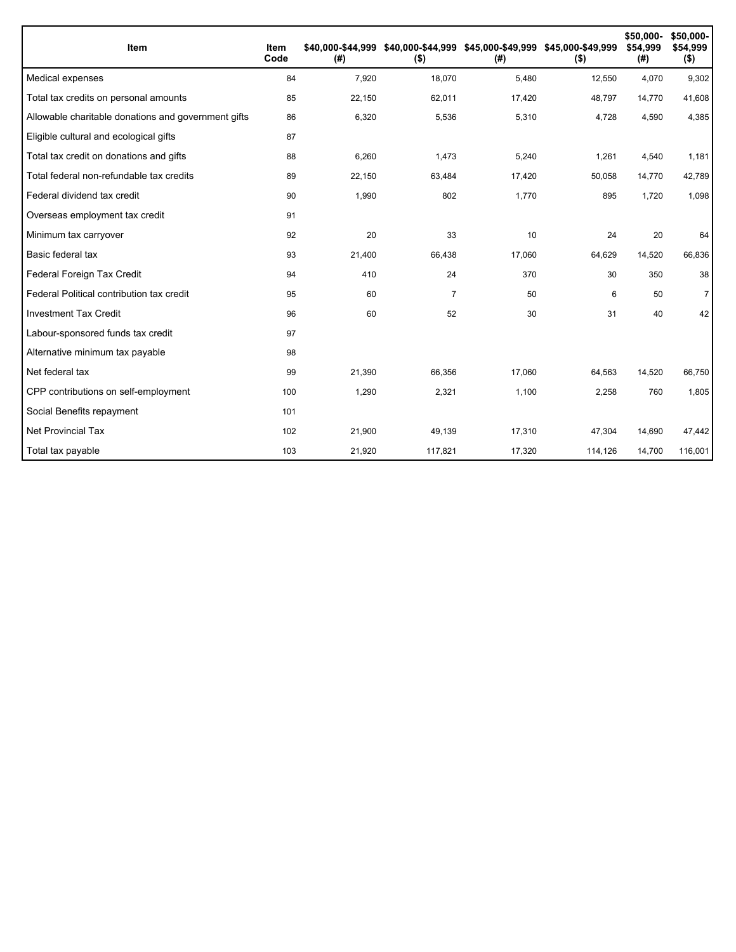| <b>Item</b>                                         | Item<br>Code | \$40.000-\$44.999<br>(#) | $($ \$)        | \$40,000-\$44,999 \$45,000-\$49,999 \$45,000-\$49,999<br>(#) | $($ \$) | \$50,000-<br>\$54.999<br>(#) | \$50,000-<br>\$54,999<br>$($ \$) |
|-----------------------------------------------------|--------------|--------------------------|----------------|--------------------------------------------------------------|---------|------------------------------|----------------------------------|
| Medical expenses                                    | 84           | 7,920                    | 18,070         | 5,480                                                        | 12,550  | 4,070                        | 9,302                            |
| Total tax credits on personal amounts               | 85           | 22,150                   | 62,011         | 17,420                                                       | 48,797  | 14,770                       | 41,608                           |
| Allowable charitable donations and government gifts | 86           | 6,320                    | 5,536          | 5,310                                                        | 4,728   | 4,590                        | 4,385                            |
| Eligible cultural and ecological gifts              | 87           |                          |                |                                                              |         |                              |                                  |
| Total tax credit on donations and gifts             | 88           | 6,260                    | 1,473          | 5,240                                                        | 1,261   | 4,540                        | 1,181                            |
| Total federal non-refundable tax credits            | 89           | 22,150                   | 63,484         | 17,420                                                       | 50,058  | 14,770                       | 42,789                           |
| Federal dividend tax credit                         | 90           | 1,990                    | 802            | 1,770                                                        | 895     | 1,720                        | 1,098                            |
| Overseas employment tax credit                      | 91           |                          |                |                                                              |         |                              |                                  |
| Minimum tax carryover                               | 92           | 20                       | 33             | 10                                                           | 24      | 20                           | 64                               |
| Basic federal tax                                   | 93           | 21,400                   | 66,438         | 17,060                                                       | 64,629  | 14,520                       | 66,836                           |
| Federal Foreign Tax Credit                          | 94           | 410                      | 24             | 370                                                          | 30      | 350                          | 38                               |
| Federal Political contribution tax credit           | 95           | 60                       | $\overline{7}$ | 50                                                           | 6       | 50                           | $\overline{7}$                   |
| <b>Investment Tax Credit</b>                        | 96           | 60                       | 52             | 30                                                           | 31      | 40                           | 42                               |
| Labour-sponsored funds tax credit                   | 97           |                          |                |                                                              |         |                              |                                  |
| Alternative minimum tax payable                     | 98           |                          |                |                                                              |         |                              |                                  |
| Net federal tax                                     | 99           | 21,390                   | 66,356         | 17,060                                                       | 64,563  | 14,520                       | 66,750                           |
| CPP contributions on self-employment                | 100          | 1,290                    | 2,321          | 1,100                                                        | 2,258   | 760                          | 1,805                            |
| Social Benefits repayment                           | 101          |                          |                |                                                              |         |                              |                                  |
| <b>Net Provincial Tax</b>                           | 102          | 21,900                   | 49,139         | 17,310                                                       | 47,304  | 14,690                       | 47,442                           |
| Total tax payable                                   | 103          | 21,920                   | 117,821        | 17,320                                                       | 114,126 | 14,700                       | 116,001                          |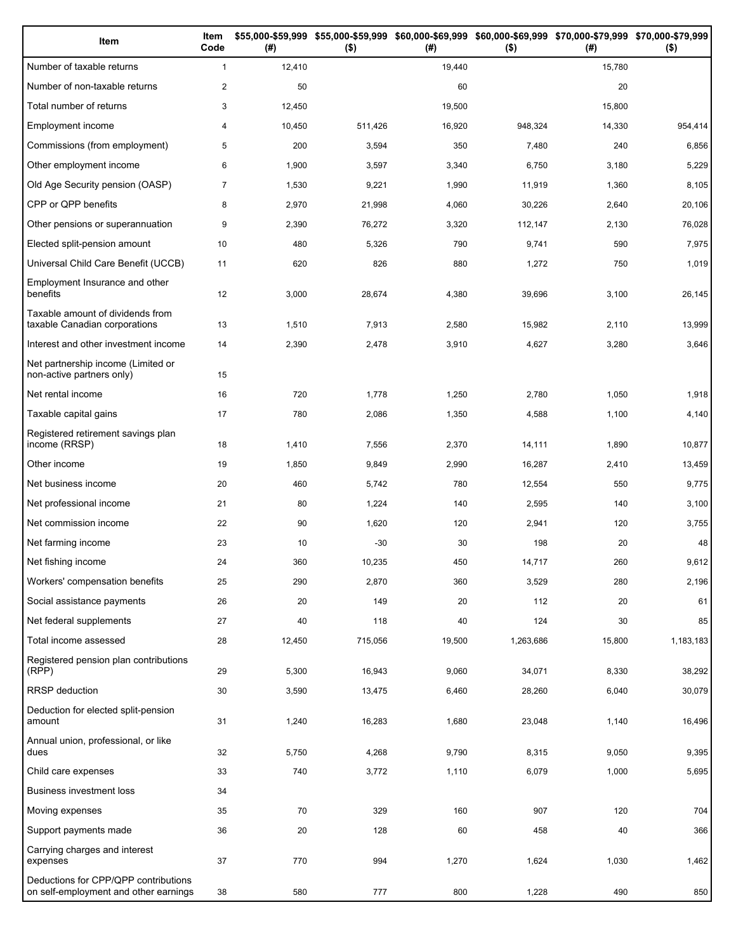| Item                                                                          | Item<br>Code   | (#)    | \$55,000-\$59,999 \$55,000-\$59,999 \$60,000-\$69,999 \$60,000-\$69,999 \$70,000-\$79,999 \$70,000-\$79,999<br>$($ \$) | (# )   | $($ \$)   | (# )   | $($ \$)   |
|-------------------------------------------------------------------------------|----------------|--------|------------------------------------------------------------------------------------------------------------------------|--------|-----------|--------|-----------|
| Number of taxable returns                                                     | $\mathbf{1}$   | 12,410 |                                                                                                                        | 19,440 |           | 15,780 |           |
| Number of non-taxable returns                                                 | $\overline{c}$ | 50     |                                                                                                                        | 60     |           | 20     |           |
| Total number of returns                                                       | 3              | 12,450 |                                                                                                                        | 19,500 |           | 15,800 |           |
| Employment income                                                             | 4              | 10,450 | 511,426                                                                                                                | 16,920 | 948,324   | 14,330 | 954,414   |
| Commissions (from employment)                                                 | 5              | 200    | 3,594                                                                                                                  | 350    | 7,480     | 240    | 6,856     |
| Other employment income                                                       | 6              | 1,900  | 3,597                                                                                                                  | 3,340  | 6,750     | 3,180  | 5,229     |
| Old Age Security pension (OASP)                                               | $\overline{7}$ | 1,530  | 9,221                                                                                                                  | 1,990  | 11,919    | 1,360  | 8,105     |
| CPP or QPP benefits                                                           | 8              | 2,970  | 21,998                                                                                                                 | 4,060  | 30,226    | 2,640  | 20,106    |
| Other pensions or superannuation                                              | 9              | 2,390  | 76,272                                                                                                                 | 3,320  | 112,147   | 2,130  | 76,028    |
| Elected split-pension amount                                                  | 10             | 480    | 5,326                                                                                                                  | 790    | 9,741     | 590    | 7,975     |
| Universal Child Care Benefit (UCCB)                                           | 11             | 620    | 826                                                                                                                    | 880    | 1,272     | 750    | 1,019     |
| Employment Insurance and other<br>benefits                                    | 12             | 3,000  | 28,674                                                                                                                 | 4,380  | 39,696    | 3,100  | 26,145    |
| Taxable amount of dividends from<br>taxable Canadian corporations             | 13             | 1,510  | 7,913                                                                                                                  | 2,580  | 15,982    | 2,110  | 13,999    |
| Interest and other investment income                                          | 14             | 2,390  | 2,478                                                                                                                  | 3,910  | 4,627     | 3,280  | 3,646     |
| Net partnership income (Limited or<br>non-active partners only)               | 15             |        |                                                                                                                        |        |           |        |           |
| Net rental income                                                             | 16             | 720    | 1,778                                                                                                                  | 1,250  | 2,780     | 1,050  | 1,918     |
| Taxable capital gains                                                         | 17             | 780    | 2,086                                                                                                                  | 1,350  | 4,588     | 1,100  | 4,140     |
| Registered retirement savings plan<br>income (RRSP)                           | 18             | 1,410  | 7,556                                                                                                                  | 2,370  | 14,111    | 1,890  | 10,877    |
| Other income                                                                  | 19             | 1,850  | 9,849                                                                                                                  | 2,990  | 16,287    | 2,410  | 13,459    |
| Net business income                                                           | 20             | 460    | 5,742                                                                                                                  | 780    | 12,554    | 550    | 9,775     |
| Net professional income                                                       | 21             | 80     | 1,224                                                                                                                  | 140    | 2,595     | 140    | 3,100     |
| Net commission income                                                         | 22             | 90     | 1,620                                                                                                                  | 120    | 2,941     | 120    | 3,755     |
| Net farming income                                                            | 23             | 10     | $-30$                                                                                                                  | 30     | 198       | 20     | 48        |
| Net fishing income                                                            | 24             | 360    | 10,235                                                                                                                 | 450    | 14,717    | 260    | 9,612     |
| Workers' compensation benefits                                                | 25             | 290    | 2,870                                                                                                                  | 360    | 3,529     | 280    | 2,196     |
| Social assistance payments                                                    | 26             | 20     | 149                                                                                                                    | 20     | 112       | 20     | 61        |
| Net federal supplements                                                       | 27             | 40     | 118                                                                                                                    | 40     | 124       | 30     | 85        |
| Total income assessed                                                         | 28             | 12,450 | 715,056                                                                                                                | 19,500 | 1,263,686 | 15,800 | 1,183,183 |
| Registered pension plan contributions<br>(RPP)                                | 29             | 5,300  | 16,943                                                                                                                 | 9,060  | 34,071    | 8,330  | 38,292    |
| RRSP deduction                                                                | 30             | 3,590  | 13,475                                                                                                                 | 6,460  | 28,260    | 6,040  | 30,079    |
| Deduction for elected split-pension<br>amount                                 | 31             | 1,240  | 16,283                                                                                                                 | 1,680  | 23,048    | 1,140  | 16,496    |
| Annual union, professional, or like<br>dues                                   | 32             | 5,750  | 4,268                                                                                                                  | 9,790  | 8,315     | 9,050  | 9,395     |
| Child care expenses                                                           | 33             | 740    | 3,772                                                                                                                  | 1,110  | 6,079     | 1,000  | 5,695     |
| Business investment loss                                                      | 34             |        |                                                                                                                        |        |           |        |           |
| Moving expenses                                                               | 35             | 70     | 329                                                                                                                    | 160    | 907       | 120    | 704       |
| Support payments made                                                         | 36             | 20     | 128                                                                                                                    | 60     | 458       | 40     | 366       |
| Carrying charges and interest<br>expenses                                     | 37             | 770    | 994                                                                                                                    | 1,270  | 1,624     | 1,030  | 1,462     |
| Deductions for CPP/QPP contributions<br>on self-employment and other earnings | 38             | 580    | 777                                                                                                                    | 800    | 1,228     | 490    | 850       |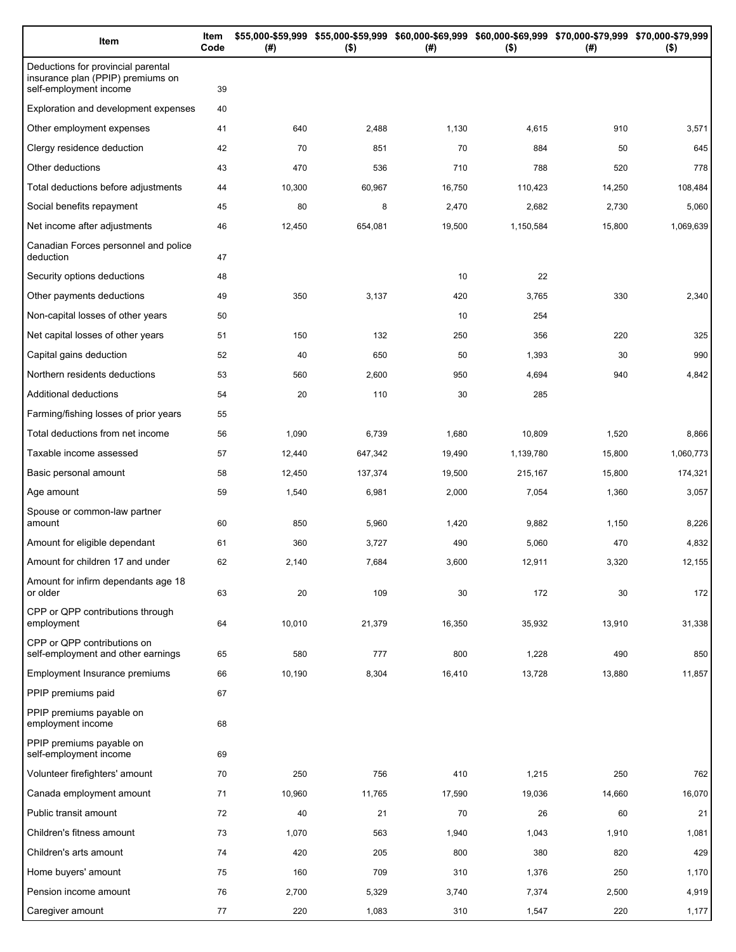| Item                                                                                              | Item<br>Code | (#)    | \$55,000-\$59,999 \$55,000-\$59,999 \$60,000-\$69,999 \$60,000-\$69,999 \$70,000-\$79,999 \$70,000-\$79,999<br>$($ \$) | (#)    | $($ \$)   | (# )   | $($ \$)   |
|---------------------------------------------------------------------------------------------------|--------------|--------|------------------------------------------------------------------------------------------------------------------------|--------|-----------|--------|-----------|
| Deductions for provincial parental<br>insurance plan (PPIP) premiums on<br>self-employment income | 39           |        |                                                                                                                        |        |           |        |           |
| Exploration and development expenses                                                              | 40           |        |                                                                                                                        |        |           |        |           |
| Other employment expenses                                                                         | 41           | 640    | 2,488                                                                                                                  | 1,130  | 4,615     | 910    | 3,571     |
| Clergy residence deduction                                                                        | 42           | 70     | 851                                                                                                                    | 70     | 884       | 50     | 645       |
| Other deductions                                                                                  | 43           | 470    | 536                                                                                                                    | 710    | 788       | 520    | 778       |
| Total deductions before adjustments                                                               | 44           | 10,300 | 60,967                                                                                                                 | 16,750 | 110,423   | 14,250 | 108,484   |
| Social benefits repayment                                                                         | 45           | 80     | 8                                                                                                                      | 2,470  | 2,682     | 2,730  | 5,060     |
| Net income after adjustments                                                                      | 46           | 12,450 | 654,081                                                                                                                | 19,500 | 1,150,584 | 15,800 | 1,069,639 |
| Canadian Forces personnel and police<br>deduction                                                 | 47           |        |                                                                                                                        |        |           |        |           |
| Security options deductions                                                                       | 48           |        |                                                                                                                        | 10     | 22        |        |           |
| Other payments deductions                                                                         | 49           | 350    | 3,137                                                                                                                  | 420    | 3,765     | 330    | 2,340     |
| Non-capital losses of other years                                                                 | 50           |        |                                                                                                                        | 10     | 254       |        |           |
| Net capital losses of other years                                                                 | 51           | 150    | 132                                                                                                                    | 250    | 356       | 220    | 325       |
| Capital gains deduction                                                                           | 52           | 40     | 650                                                                                                                    | 50     | 1,393     | 30     | 990       |
| Northern residents deductions                                                                     | 53           | 560    | 2,600                                                                                                                  | 950    | 4,694     | 940    | 4,842     |
| Additional deductions                                                                             | 54           | 20     | 110                                                                                                                    | 30     | 285       |        |           |
| Farming/fishing losses of prior years                                                             | 55           |        |                                                                                                                        |        |           |        |           |
| Total deductions from net income                                                                  | 56           | 1,090  | 6,739                                                                                                                  | 1,680  | 10,809    | 1,520  | 8,866     |
| Taxable income assessed                                                                           | 57           | 12,440 | 647,342                                                                                                                | 19,490 | 1,139,780 | 15,800 | 1,060,773 |
| Basic personal amount                                                                             | 58           | 12,450 | 137,374                                                                                                                | 19,500 | 215,167   | 15,800 | 174,321   |
| Age amount                                                                                        | 59           | 1,540  | 6,981                                                                                                                  | 2,000  | 7,054     | 1,360  | 3,057     |
| Spouse or common-law partner<br>amount                                                            | 60           | 850    | 5,960                                                                                                                  | 1,420  | 9,882     | 1,150  | 8,226     |
| Amount for eligible dependant                                                                     | 61           | 360    | 3,727                                                                                                                  | 490    | 5,060     | 470    | 4,832     |
| Amount for children 17 and under                                                                  | 62           | 2,140  | 7,684                                                                                                                  | 3,600  | 12,911    | 3,320  | 12,155    |
| Amount for infirm dependants age 18<br>or older                                                   | 63           | 20     | 109                                                                                                                    | 30     | 172       | 30     | 172       |
| CPP or QPP contributions through<br>employment                                                    | 64           | 10,010 | 21,379                                                                                                                 | 16,350 | 35,932    | 13,910 | 31,338    |
| CPP or QPP contributions on<br>self-employment and other earnings                                 | 65           | 580    | 777                                                                                                                    | 800    | 1,228     | 490    | 850       |
| Employment Insurance premiums                                                                     | 66           | 10,190 | 8,304                                                                                                                  | 16,410 | 13,728    | 13,880 | 11,857    |
| PPIP premiums paid                                                                                | 67           |        |                                                                                                                        |        |           |        |           |
| PPIP premiums payable on<br>employment income                                                     | 68           |        |                                                                                                                        |        |           |        |           |
| PPIP premiums payable on<br>self-employment income                                                | 69           |        |                                                                                                                        |        |           |        |           |
| Volunteer firefighters' amount                                                                    | 70           | 250    | 756                                                                                                                    | 410    | 1,215     | 250    | 762       |
| Canada employment amount                                                                          | 71           | 10,960 | 11,765                                                                                                                 | 17,590 | 19,036    | 14,660 | 16,070    |
| Public transit amount                                                                             | 72           | 40     | 21                                                                                                                     | 70     | 26        | 60     | 21        |
| Children's fitness amount                                                                         | 73           | 1,070  | 563                                                                                                                    | 1,940  | 1,043     | 1,910  | 1,081     |
| Children's arts amount                                                                            | 74           | 420    | 205                                                                                                                    | 800    | 380       | 820    | 429       |
| Home buyers' amount                                                                               | 75           | 160    | 709                                                                                                                    | 310    | 1,376     | 250    | 1,170     |
| Pension income amount                                                                             | 76           | 2,700  | 5,329                                                                                                                  | 3,740  | 7,374     | 2,500  | 4,919     |
| Caregiver amount                                                                                  | 77           | 220    | 1,083                                                                                                                  | 310    | 1,547     | 220    | 1,177     |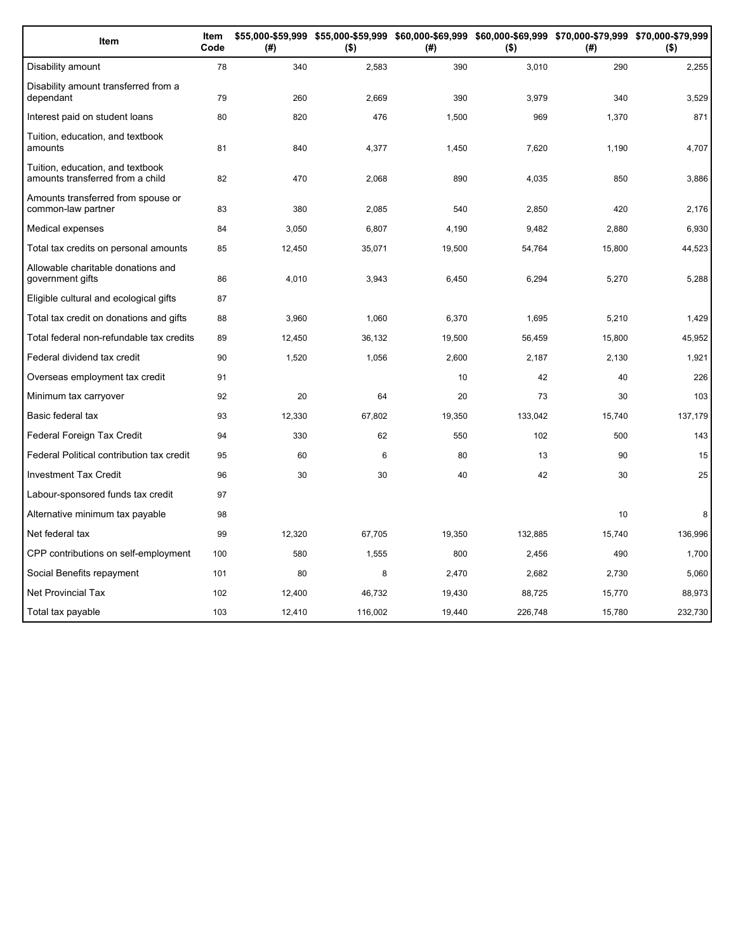| Item                                                                 | Item<br>Code | (#)    | \$55,000-\$59,999 \$55,000-\$59,999 \$60,000-\$69,999 \$60,000-\$69,999 \$70,000-\$79,999 \$70,000-\$79,999<br>$($ \$) | (#)    | $($ \$) | (#)    | $($ \$) |
|----------------------------------------------------------------------|--------------|--------|------------------------------------------------------------------------------------------------------------------------|--------|---------|--------|---------|
| Disability amount                                                    | 78           | 340    | 2,583                                                                                                                  | 390    | 3,010   | 290    | 2,255   |
| Disability amount transferred from a<br>dependant                    | 79           | 260    | 2,669                                                                                                                  | 390    | 3,979   | 340    | 3,529   |
| Interest paid on student loans                                       | 80           | 820    | 476                                                                                                                    | 1,500  | 969     | 1,370  | 871     |
| Tuition, education, and textbook<br>amounts                          | 81           | 840    | 4,377                                                                                                                  | 1,450  | 7,620   | 1,190  | 4,707   |
| Tuition, education, and textbook<br>amounts transferred from a child | 82           | 470    | 2,068                                                                                                                  | 890    | 4,035   | 850    | 3,886   |
| Amounts transferred from spouse or<br>common-law partner             | 83           | 380    | 2,085                                                                                                                  | 540    | 2,850   | 420    | 2,176   |
| Medical expenses                                                     | 84           | 3,050  | 6,807                                                                                                                  | 4,190  | 9,482   | 2,880  | 6,930   |
| Total tax credits on personal amounts                                | 85           | 12,450 | 35,071                                                                                                                 | 19,500 | 54,764  | 15,800 | 44,523  |
| Allowable charitable donations and<br>government gifts               | 86           | 4,010  | 3,943                                                                                                                  | 6,450  | 6,294   | 5,270  | 5,288   |
| Eligible cultural and ecological gifts                               | 87           |        |                                                                                                                        |        |         |        |         |
| Total tax credit on donations and gifts                              | 88           | 3,960  | 1,060                                                                                                                  | 6,370  | 1,695   | 5,210  | 1,429   |
| Total federal non-refundable tax credits                             | 89           | 12,450 | 36,132                                                                                                                 | 19,500 | 56,459  | 15,800 | 45,952  |
| Federal dividend tax credit                                          | 90           | 1,520  | 1,056                                                                                                                  | 2,600  | 2,187   | 2,130  | 1,921   |
| Overseas employment tax credit                                       | 91           |        |                                                                                                                        | 10     | 42      | 40     | 226     |
| Minimum tax carryover                                                | 92           | 20     | 64                                                                                                                     | 20     | 73      | 30     | 103     |
| Basic federal tax                                                    | 93           | 12,330 | 67,802                                                                                                                 | 19,350 | 133,042 | 15,740 | 137,179 |
| Federal Foreign Tax Credit                                           | 94           | 330    | 62                                                                                                                     | 550    | 102     | 500    | 143     |
| Federal Political contribution tax credit                            | 95           | 60     | 6                                                                                                                      | 80     | 13      | 90     | 15      |
| <b>Investment Tax Credit</b>                                         | 96           | 30     | 30                                                                                                                     | 40     | 42      | 30     | 25      |
| Labour-sponsored funds tax credit                                    | 97           |        |                                                                                                                        |        |         |        |         |
| Alternative minimum tax payable                                      | 98           |        |                                                                                                                        |        |         | 10     | 8       |
| Net federal tax                                                      | 99           | 12,320 | 67,705                                                                                                                 | 19,350 | 132,885 | 15,740 | 136,996 |
| CPP contributions on self-employment                                 | 100          | 580    | 1,555                                                                                                                  | 800    | 2,456   | 490    | 1,700   |
| Social Benefits repayment                                            | 101          | 80     | 8                                                                                                                      | 2,470  | 2,682   | 2,730  | 5,060   |
| <b>Net Provincial Tax</b>                                            | 102          | 12,400 | 46,732                                                                                                                 | 19,430 | 88,725  | 15,770 | 88,973  |
| Total tax payable                                                    | 103          | 12,410 | 116,002                                                                                                                | 19,440 | 226,748 | 15,780 | 232,730 |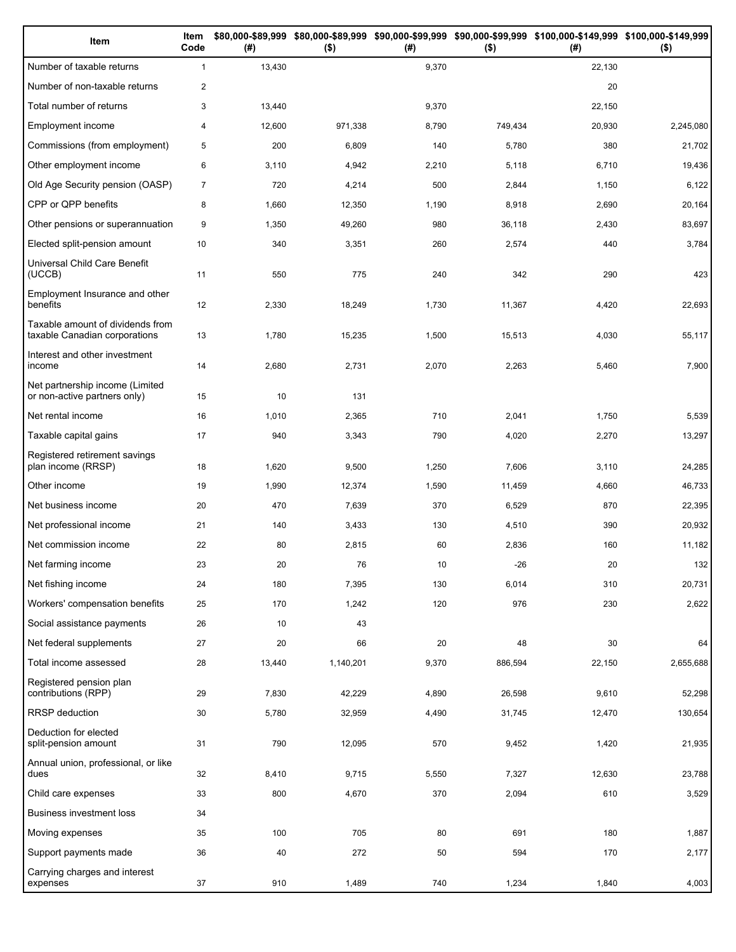| Item                                                              | Item<br>Code   | (# )   | $($ \$)   | (#)   | $($ \$) | \$80,000-\$89,999 \$80,000-\$89,999 \$90,000-\$99,999 \$90,000-\$99,999 \$100,000-\$149,999 \$100,000-\$149,999<br>(# ) | $($ \$)   |
|-------------------------------------------------------------------|----------------|--------|-----------|-------|---------|-------------------------------------------------------------------------------------------------------------------------|-----------|
| Number of taxable returns                                         | $\mathbf{1}$   | 13,430 |           | 9,370 |         | 22,130                                                                                                                  |           |
| Number of non-taxable returns                                     | 2              |        |           |       |         | 20                                                                                                                      |           |
| Total number of returns                                           | 3              | 13,440 |           | 9,370 |         | 22,150                                                                                                                  |           |
| Employment income                                                 | $\overline{4}$ | 12,600 | 971,338   | 8,790 | 749,434 | 20,930                                                                                                                  | 2,245,080 |
| Commissions (from employment)                                     | 5              | 200    | 6,809     | 140   | 5,780   | 380                                                                                                                     | 21,702    |
| Other employment income                                           | 6              | 3,110  | 4,942     | 2,210 | 5,118   | 6,710                                                                                                                   | 19,436    |
| Old Age Security pension (OASP)                                   | $\overline{7}$ | 720    | 4,214     | 500   | 2,844   | 1,150                                                                                                                   | 6,122     |
| CPP or QPP benefits                                               | 8              | 1,660  | 12,350    | 1,190 | 8,918   | 2,690                                                                                                                   | 20,164    |
| Other pensions or superannuation                                  | 9              | 1,350  | 49,260    | 980   | 36,118  | 2,430                                                                                                                   | 83,697    |
| Elected split-pension amount                                      | 10             | 340    | 3,351     | 260   | 2,574   | 440                                                                                                                     | 3,784     |
| Universal Child Care Benefit<br>(UCCB)                            | 11             | 550    | 775       | 240   | 342     | 290                                                                                                                     | 423       |
| Employment Insurance and other<br>benefits                        | 12             | 2,330  | 18,249    | 1,730 | 11,367  | 4,420                                                                                                                   | 22,693    |
| Taxable amount of dividends from<br>taxable Canadian corporations | 13             | 1,780  | 15,235    | 1,500 | 15,513  | 4,030                                                                                                                   | 55,117    |
| Interest and other investment<br>income                           | 14             | 2,680  | 2,731     | 2,070 | 2,263   | 5,460                                                                                                                   | 7,900     |
| Net partnership income (Limited<br>or non-active partners only)   | 15             | 10     | 131       |       |         |                                                                                                                         |           |
| Net rental income                                                 | 16             | 1,010  | 2,365     | 710   | 2,041   | 1,750                                                                                                                   | 5,539     |
| Taxable capital gains                                             | 17             | 940    | 3,343     | 790   | 4,020   | 2,270                                                                                                                   | 13,297    |
| Registered retirement savings<br>plan income (RRSP)               | 18             | 1,620  | 9,500     | 1,250 | 7,606   | 3,110                                                                                                                   | 24,285    |
| Other income                                                      | 19             | 1,990  | 12,374    | 1,590 | 11,459  | 4,660                                                                                                                   | 46,733    |
| Net business income                                               | 20             | 470    | 7,639     | 370   | 6,529   | 870                                                                                                                     | 22,395    |
| Net professional income                                           | 21             | 140    | 3,433     | 130   | 4,510   | 390                                                                                                                     | 20,932    |
| Net commission income                                             | 22             | 80     | 2,815     | 60    | 2,836   | 160                                                                                                                     | 11,182    |
| Net farming income                                                | 23             | 20     | 76        | 10    | $-26$   | 20                                                                                                                      | 132       |
| Net fishing income                                                | 24             | 180    | 7,395     | 130   | 6,014   | 310                                                                                                                     | 20,731    |
| Workers' compensation benefits                                    | 25             | 170    | 1,242     | 120   | 976     | 230                                                                                                                     | 2,622     |
| Social assistance payments                                        | 26             | 10     | 43        |       |         |                                                                                                                         |           |
| Net federal supplements                                           | 27             | 20     | 66        | 20    | 48      | 30                                                                                                                      | 64        |
| Total income assessed                                             | 28             | 13,440 | 1,140,201 | 9,370 | 886,594 | 22,150                                                                                                                  | 2,655,688 |
| Registered pension plan<br>contributions (RPP)                    | 29             | 7,830  | 42,229    | 4,890 | 26,598  | 9,610                                                                                                                   | 52,298    |
| <b>RRSP</b> deduction                                             | 30             | 5,780  | 32,959    | 4,490 | 31,745  | 12,470                                                                                                                  | 130,654   |
| Deduction for elected<br>split-pension amount                     | 31             | 790    | 12,095    | 570   | 9,452   | 1,420                                                                                                                   | 21,935    |
| Annual union, professional, or like<br>dues                       | 32             | 8,410  | 9,715     | 5,550 | 7,327   | 12,630                                                                                                                  | 23,788    |
| Child care expenses                                               | 33             | 800    | 4,670     | 370   | 2,094   | 610                                                                                                                     | 3,529     |
| Business investment loss                                          | 34             |        |           |       |         |                                                                                                                         |           |
| Moving expenses                                                   | 35             | 100    | 705       | 80    | 691     | 180                                                                                                                     | 1,887     |
| Support payments made                                             | 36             | 40     | 272       | 50    | 594     | 170                                                                                                                     | 2,177     |
| Carrying charges and interest<br>expenses                         | 37             | 910    | 1,489     | 740   | 1,234   | 1,840                                                                                                                   | 4,003     |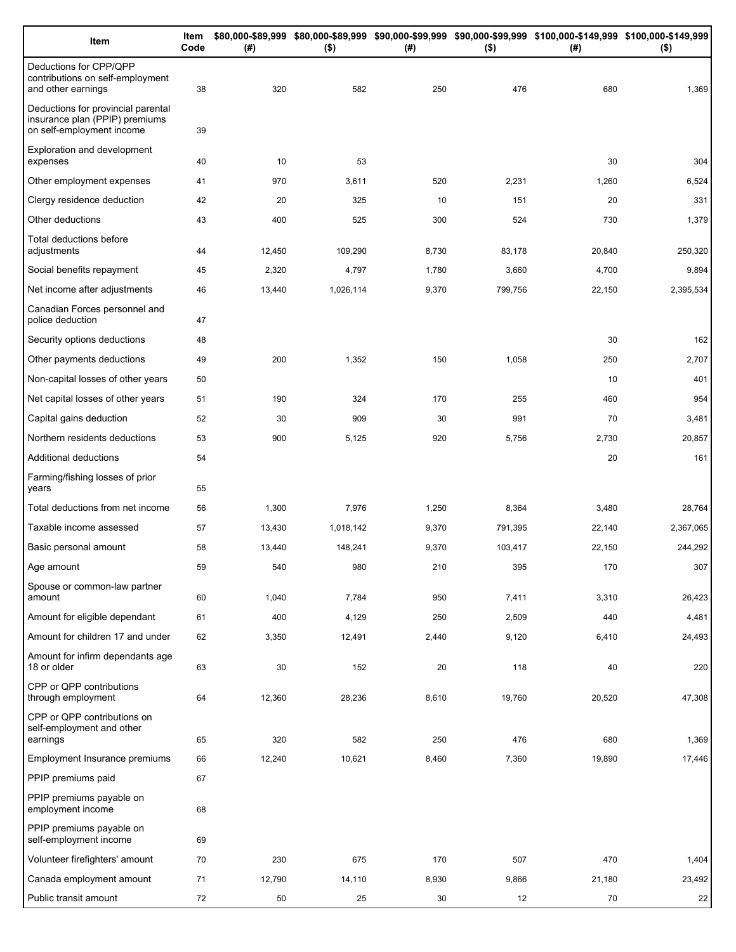| Item                                                                                              | Item<br>Code | (#)    | $($ \$)   | (# )  | $($ \$) | \$80,000-\$89,999 \$80,000-\$89,999 \$90,000-\$99,999 \$90,000-\$99,999 \$100,000-\$149,999 \$100,000-\$149,999<br>(#) | $($ \$)   |
|---------------------------------------------------------------------------------------------------|--------------|--------|-----------|-------|---------|------------------------------------------------------------------------------------------------------------------------|-----------|
| Deductions for CPP/QPP<br>contributions on self-employment<br>and other earnings                  | 38           | 320    | 582       | 250   | 476     | 680                                                                                                                    | 1,369     |
| Deductions for provincial parental<br>insurance plan (PPIP) premiums<br>on self-employment income | 39           |        |           |       |         |                                                                                                                        |           |
| Exploration and development<br>expenses                                                           | 40           | 10     | 53        |       |         | 30                                                                                                                     | 304       |
| Other employment expenses                                                                         | 41           | 970    | 3,611     | 520   | 2,231   | 1,260                                                                                                                  | 6,524     |
| Clergy residence deduction                                                                        | 42           | 20     | 325       | 10    | 151     | 20                                                                                                                     | 331       |
| Other deductions                                                                                  | 43           | 400    | 525       | 300   | 524     | 730                                                                                                                    | 1,379     |
| Total deductions before<br>adjustments                                                            | 44           | 12,450 | 109,290   | 8,730 | 83,178  | 20,840                                                                                                                 | 250,320   |
| Social benefits repayment                                                                         | 45           | 2,320  | 4,797     | 1,780 | 3,660   | 4,700                                                                                                                  | 9,894     |
| Net income after adjustments                                                                      | 46           | 13,440 | 1,026,114 | 9,370 | 799,756 | 22,150                                                                                                                 | 2,395,534 |
| Canadian Forces personnel and<br>police deduction                                                 | 47           |        |           |       |         |                                                                                                                        |           |
| Security options deductions                                                                       | 48           |        |           |       |         | 30                                                                                                                     | 162       |
| Other payments deductions                                                                         | 49           | 200    | 1,352     | 150   | 1,058   | 250                                                                                                                    | 2,707     |
| Non-capital losses of other years                                                                 | 50           |        |           |       |         | 10                                                                                                                     | 401       |
| Net capital losses of other years                                                                 | 51           | 190    | 324       | 170   | 255     | 460                                                                                                                    | 954       |
| Capital gains deduction                                                                           | 52           | 30     | 909       | 30    | 991     | 70                                                                                                                     | 3,481     |
| Northern residents deductions                                                                     | 53           | 900    | 5,125     | 920   | 5,756   | 2,730                                                                                                                  | 20,857    |
| Additional deductions                                                                             | 54           |        |           |       |         | 20                                                                                                                     | 161       |
| Farming/fishing losses of prior<br>years                                                          | 55           |        |           |       |         |                                                                                                                        |           |
| Total deductions from net income                                                                  | 56           | 1,300  | 7,976     | 1,250 | 8,364   | 3,480                                                                                                                  | 28,764    |
| Taxable income assessed                                                                           | 57           | 13,430 | 1,018,142 | 9,370 | 791,395 | 22,140                                                                                                                 | 2,367,065 |
| Basic personal amount                                                                             | 58           | 13,440 | 148,241   | 9,370 | 103,417 | 22,150                                                                                                                 | 244,292   |
| Age amount                                                                                        | 59           | 540    | 980       | 210   | 395     | 170                                                                                                                    | 307       |
| Spouse or common-law partner<br>amount                                                            | 60           | 1,040  | 7,784     | 950   | 7,411   | 3,310                                                                                                                  | 26,423    |
| Amount for eligible dependant                                                                     | 61           | 400    | 4,129     | 250   | 2,509   | 440                                                                                                                    | 4,481     |
| Amount for children 17 and under                                                                  | 62           | 3,350  | 12,491    | 2,440 | 9,120   | 6,410                                                                                                                  | 24,493    |
| Amount for infirm dependants age<br>18 or older                                                   | 63           | 30     | 152       | 20    | 118     | 40                                                                                                                     | 220       |
| CPP or QPP contributions<br>through employment                                                    | 64           | 12,360 | 28,236    | 8,610 | 19,760  | 20,520                                                                                                                 | 47,308    |
| CPP or QPP contributions on<br>self-employment and other<br>earnings                              | 65           | 320    | 582       | 250   | 476     | 680                                                                                                                    | 1,369     |
| Employment Insurance premiums                                                                     | 66           | 12,240 | 10,621    | 8,460 | 7,360   | 19,890                                                                                                                 | 17,446    |
| PPIP premiums paid                                                                                | 67           |        |           |       |         |                                                                                                                        |           |
| PPIP premiums payable on                                                                          |              |        |           |       |         |                                                                                                                        |           |
| employment income                                                                                 | 68           |        |           |       |         |                                                                                                                        |           |
| PPIP premiums payable on<br>self-employment income                                                | 69           |        |           |       |         |                                                                                                                        |           |
| Volunteer firefighters' amount                                                                    | 70           | 230    | 675       | 170   | 507     | 470                                                                                                                    | 1,404     |
| Canada employment amount                                                                          | 71           | 12,790 | 14,110    | 8,930 | 9,866   | 21,180                                                                                                                 | 23,492    |
| Public transit amount                                                                             | 72           | 50     | 25        | 30    | 12      | 70                                                                                                                     | 22        |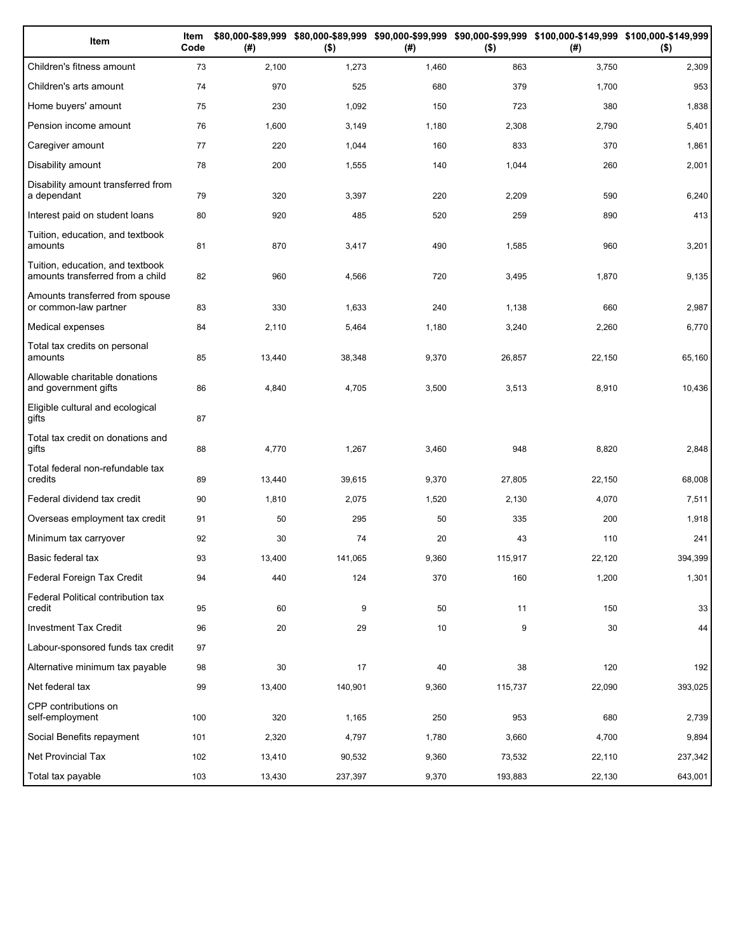| Item                                                                 | Item<br>Code | (# )   | $($ \$) | (#)   | $($ \$) | \$80,000-\$89,999 \$80,000-\$89,999 \$90,000-\$99,999 \$90,000-\$99,999 \$100,000-\$149,999 \$100,000-\$149,999<br>(#) | $($ \$) |
|----------------------------------------------------------------------|--------------|--------|---------|-------|---------|------------------------------------------------------------------------------------------------------------------------|---------|
| Children's fitness amount                                            | 73           | 2,100  | 1,273   | 1,460 | 863     | 3,750                                                                                                                  | 2,309   |
| Children's arts amount                                               | 74           | 970    | 525     | 680   | 379     | 1,700                                                                                                                  | 953     |
| Home buyers' amount                                                  | 75           | 230    | 1,092   | 150   | 723     | 380                                                                                                                    | 1,838   |
| Pension income amount                                                | 76           | 1,600  | 3,149   | 1,180 | 2,308   | 2,790                                                                                                                  | 5,401   |
| Caregiver amount                                                     | 77           | 220    | 1,044   | 160   | 833     | 370                                                                                                                    | 1,861   |
| Disability amount                                                    | 78           | 200    | 1,555   | 140   | 1,044   | 260                                                                                                                    | 2,001   |
| Disability amount transferred from<br>a dependant                    | 79           | 320    | 3,397   | 220   | 2,209   | 590                                                                                                                    | 6,240   |
| Interest paid on student loans                                       | 80           | 920    | 485     | 520   | 259     | 890                                                                                                                    | 413     |
| Tuition, education, and textbook<br>amounts                          | 81           | 870    | 3,417   | 490   | 1,585   | 960                                                                                                                    | 3,201   |
| Tuition, education, and textbook<br>amounts transferred from a child | 82           | 960    | 4,566   | 720   | 3,495   | 1,870                                                                                                                  | 9,135   |
| Amounts transferred from spouse<br>or common-law partner             | 83           | 330    | 1,633   | 240   | 1,138   | 660                                                                                                                    | 2,987   |
| Medical expenses                                                     | 84           | 2,110  | 5,464   | 1,180 | 3,240   | 2,260                                                                                                                  | 6,770   |
| Total tax credits on personal<br>amounts                             | 85           | 13,440 | 38,348  | 9,370 | 26,857  | 22,150                                                                                                                 | 65,160  |
| Allowable charitable donations<br>and government gifts               | 86           | 4,840  | 4,705   | 3,500 | 3,513   | 8,910                                                                                                                  | 10,436  |
| Eligible cultural and ecological<br>gifts                            | 87           |        |         |       |         |                                                                                                                        |         |
| Total tax credit on donations and<br>gifts                           | 88           | 4,770  | 1,267   | 3,460 | 948     | 8,820                                                                                                                  | 2,848   |
| Total federal non-refundable tax<br>credits                          | 89           | 13,440 | 39,615  | 9,370 | 27,805  | 22,150                                                                                                                 | 68,008  |
| Federal dividend tax credit                                          | 90           | 1,810  | 2,075   | 1,520 | 2,130   | 4,070                                                                                                                  | 7,511   |
| Overseas employment tax credit                                       | 91           | 50     | 295     | 50    | 335     | 200                                                                                                                    | 1,918   |
| Minimum tax carryover                                                | 92           | 30     | 74      | 20    | 43      | 110                                                                                                                    | 241     |
| Basic federal tax                                                    | 93           | 13,400 | 141,065 | 9,360 | 115,917 | 22,120                                                                                                                 | 394,399 |
| Federal Foreign Tax Credit                                           | 94           | 440    | 124     | 370   | 160     | 1,200                                                                                                                  | 1,301   |
| Federal Political contribution tax<br>credit                         | 95           | 60     | 9       | 50    | 11      | 150                                                                                                                    | 33      |
| Investment Tax Credit                                                | 96           | 20     | 29      | 10    | 9       | 30                                                                                                                     | 44      |
| Labour-sponsored funds tax credit                                    | 97           |        |         |       |         |                                                                                                                        |         |
| Alternative minimum tax payable                                      | 98           | 30     | 17      | 40    | 38      | 120                                                                                                                    | 192     |
| Net federal tax                                                      | 99           | 13,400 | 140,901 | 9,360 | 115,737 | 22,090                                                                                                                 | 393,025 |
| CPP contributions on<br>self-employment                              | 100          | 320    | 1,165   | 250   | 953     | 680                                                                                                                    | 2,739   |
| Social Benefits repayment                                            | 101          | 2,320  | 4,797   | 1,780 | 3,660   | 4,700                                                                                                                  | 9,894   |
| Net Provincial Tax                                                   | 102          | 13,410 | 90,532  | 9,360 | 73,532  | 22,110                                                                                                                 | 237,342 |
| Total tax payable                                                    | 103          | 13,430 | 237,397 | 9,370 | 193,883 | 22,130                                                                                                                 | 643,001 |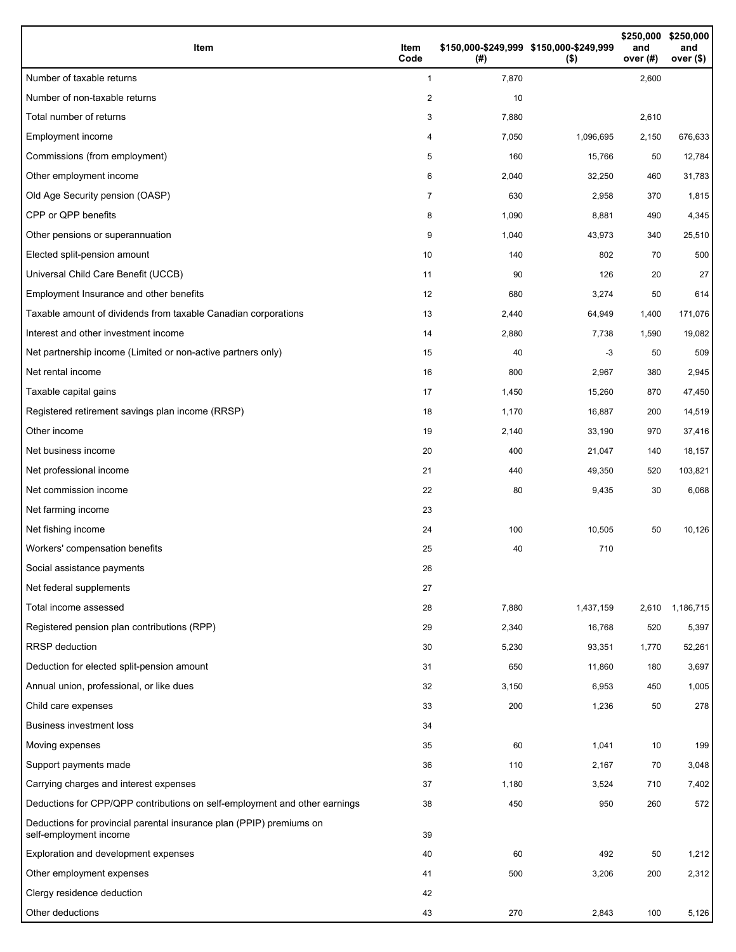| Item                                                                                           | Item<br>Code | (#)   | \$150,000-\$249,999 \$150,000-\$249,999<br>$($ \$) | \$250,000<br>and<br>over $(H)$ | \$250,000<br>and<br>over (\$) |
|------------------------------------------------------------------------------------------------|--------------|-------|----------------------------------------------------|--------------------------------|-------------------------------|
| Number of taxable returns                                                                      | $\mathbf{1}$ | 7,870 |                                                    | 2,600                          |                               |
| Number of non-taxable returns                                                                  | 2            | 10    |                                                    |                                |                               |
| Total number of returns                                                                        | 3            | 7,880 |                                                    | 2,610                          |                               |
| Employment income                                                                              | 4            | 7,050 | 1,096,695                                          | 2,150                          | 676,633                       |
| Commissions (from employment)                                                                  | 5            | 160   | 15,766                                             | 50                             | 12,784                        |
| Other employment income                                                                        | 6            | 2,040 | 32,250                                             | 460                            | 31,783                        |
| Old Age Security pension (OASP)                                                                | 7            | 630   | 2,958                                              | 370                            | 1,815                         |
| CPP or QPP benefits                                                                            | 8            | 1,090 | 8,881                                              | 490                            | 4,345                         |
| Other pensions or superannuation                                                               | 9            | 1,040 | 43,973                                             | 340                            | 25,510                        |
| Elected split-pension amount                                                                   | 10           | 140   | 802                                                | 70                             | 500                           |
| Universal Child Care Benefit (UCCB)                                                            | 11           | 90    | 126                                                | 20                             | 27                            |
| Employment Insurance and other benefits                                                        | 12           | 680   | 3,274                                              | 50                             | 614                           |
| Taxable amount of dividends from taxable Canadian corporations                                 | 13           | 2,440 | 64,949                                             | 1,400                          | 171,076                       |
| Interest and other investment income                                                           | 14           | 2,880 | 7,738                                              | 1,590                          | 19,082                        |
| Net partnership income (Limited or non-active partners only)                                   | 15           | 40    | $-3$                                               | 50                             | 509                           |
| Net rental income                                                                              | 16           | 800   | 2,967                                              | 380                            | 2,945                         |
| Taxable capital gains                                                                          | 17           | 1,450 | 15,260                                             | 870                            | 47,450                        |
| Registered retirement savings plan income (RRSP)                                               | 18           | 1,170 | 16,887                                             | 200                            | 14,519                        |
| Other income                                                                                   | 19           | 2,140 | 33,190                                             | 970                            | 37,416                        |
| Net business income                                                                            | 20           | 400   | 21,047                                             | 140                            | 18,157                        |
| Net professional income                                                                        | 21           | 440   | 49,350                                             | 520                            | 103,821                       |
| Net commission income                                                                          | 22           | 80    | 9,435                                              | 30                             | 6,068                         |
| Net farming income                                                                             | 23           |       |                                                    |                                |                               |
| Net fishing income                                                                             | 24           | 100   | 10,505                                             | 50                             | 10,126                        |
| Workers' compensation benefits                                                                 | 25           | 40    | 710                                                |                                |                               |
| Social assistance payments                                                                     | 26           |       |                                                    |                                |                               |
| Net federal supplements                                                                        | 27           |       |                                                    |                                |                               |
| Total income assessed                                                                          | 28           | 7,880 | 1,437,159                                          | 2,610                          | 1,186,715                     |
| Registered pension plan contributions (RPP)                                                    | 29           | 2,340 | 16,768                                             | 520                            | 5,397                         |
| <b>RRSP</b> deduction                                                                          | 30           | 5,230 | 93,351                                             | 1,770                          | 52,261                        |
| Deduction for elected split-pension amount                                                     | 31           | 650   | 11,860                                             | 180                            | 3,697                         |
| Annual union, professional, or like dues                                                       | 32           | 3,150 | 6,953                                              | 450                            | 1,005                         |
| Child care expenses                                                                            | 33           | 200   | 1,236                                              | 50                             | 278                           |
| <b>Business investment loss</b>                                                                | 34           |       |                                                    |                                |                               |
| Moving expenses                                                                                | 35           | 60    | 1,041                                              | 10                             | 199                           |
| Support payments made                                                                          | 36           | 110   | 2,167                                              | 70                             | 3,048                         |
| Carrying charges and interest expenses                                                         | 37           | 1,180 | 3,524                                              | 710                            | 7,402                         |
| Deductions for CPP/QPP contributions on self-employment and other earnings                     | 38           | 450   | 950                                                | 260                            | 572                           |
| Deductions for provincial parental insurance plan (PPIP) premiums on<br>self-employment income | 39           |       |                                                    |                                |                               |
| Exploration and development expenses                                                           | 40           | 60    | 492                                                | 50                             | 1,212                         |
| Other employment expenses                                                                      | 41           | 500   | 3,206                                              | 200                            | 2,312                         |
| Clergy residence deduction                                                                     | 42           |       |                                                    |                                |                               |
| Other deductions                                                                               | 43           | 270   | 2,843                                              | 100                            | 5,126                         |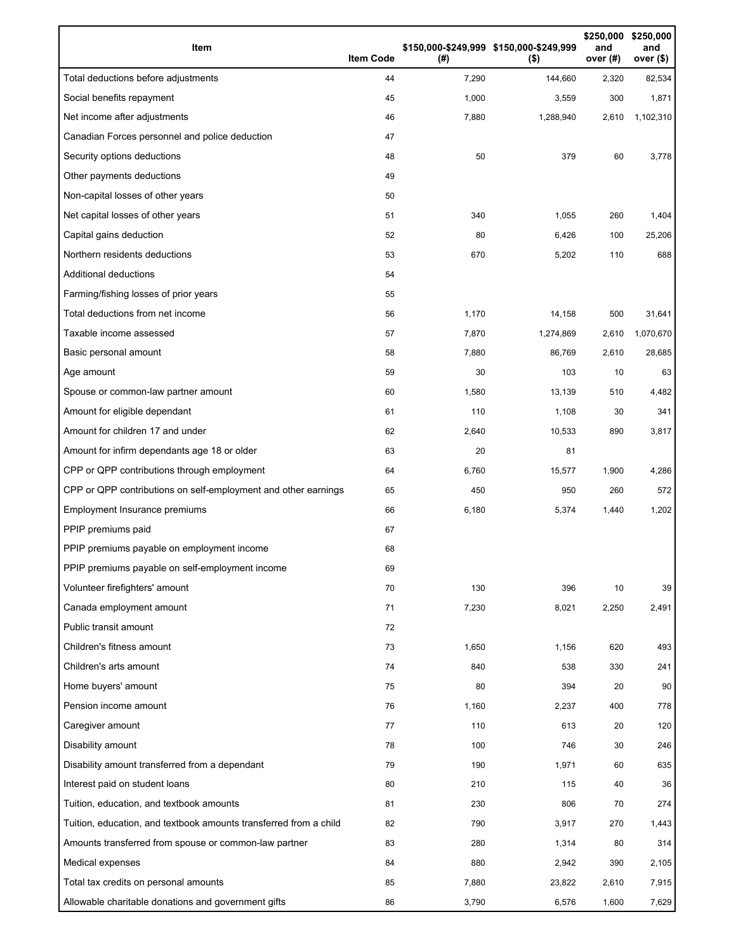| Item                                                              | <b>Item Code</b> | (#)   | \$150,000-\$249,999 \$150,000-\$249,999<br>$($ \$) | \$250,000<br>and<br>over (#) | \$250,000<br>and<br>over <sub>(</sub> \$) |
|-------------------------------------------------------------------|------------------|-------|----------------------------------------------------|------------------------------|-------------------------------------------|
| Total deductions before adjustments                               | 44               | 7,290 | 144,660                                            | 2,320                        | 82,534                                    |
| Social benefits repayment                                         | 45               | 1,000 | 3,559                                              | 300                          | 1,871                                     |
| Net income after adjustments                                      | 46               | 7,880 | 1,288,940                                          | 2,610                        | 1,102,310                                 |
| Canadian Forces personnel and police deduction                    | 47               |       |                                                    |                              |                                           |
| Security options deductions                                       | 48               | 50    | 379                                                | 60                           | 3,778                                     |
| Other payments deductions                                         | 49               |       |                                                    |                              |                                           |
| Non-capital losses of other years                                 | 50               |       |                                                    |                              |                                           |
| Net capital losses of other years                                 | 51               | 340   | 1,055                                              | 260                          | 1,404                                     |
| Capital gains deduction                                           | 52               | 80    | 6,426                                              | 100                          | 25,206                                    |
| Northern residents deductions                                     | 53               | 670   | 5,202                                              | 110                          | 688                                       |
| Additional deductions                                             | 54               |       |                                                    |                              |                                           |
| Farming/fishing losses of prior years                             | 55               |       |                                                    |                              |                                           |
| Total deductions from net income                                  | 56               | 1,170 | 14,158                                             | 500                          | 31,641                                    |
| Taxable income assessed                                           | 57               | 7,870 | 1,274,869                                          | 2,610                        | 1,070,670                                 |
| Basic personal amount                                             | 58               | 7,880 | 86,769                                             | 2,610                        | 28,685                                    |
| Age amount                                                        | 59               | 30    | 103                                                | 10                           | 63                                        |
| Spouse or common-law partner amount                               | 60               | 1,580 | 13,139                                             | 510                          | 4,482                                     |
| Amount for eligible dependant                                     | 61               | 110   | 1,108                                              | 30                           | 341                                       |
| Amount for children 17 and under                                  | 62               | 2,640 | 10,533                                             | 890                          | 3,817                                     |
| Amount for infirm dependants age 18 or older                      | 63               | 20    | 81                                                 |                              |                                           |
| CPP or QPP contributions through employment                       | 64               | 6,760 | 15,577                                             | 1,900                        | 4,286                                     |
| CPP or QPP contributions on self-employment and other earnings    | 65               | 450   | 950                                                | 260                          | 572                                       |
| Employment Insurance premiums                                     | 66               | 6,180 | 5,374                                              | 1,440                        | 1,202                                     |
| PPIP premiums paid                                                | 67               |       |                                                    |                              |                                           |
| PPIP premiums payable on employment income                        | 68               |       |                                                    |                              |                                           |
| PPIP premiums payable on self-employment income                   | 69               |       |                                                    |                              |                                           |
| Volunteer firefighters' amount                                    | 70               | 130   | 396                                                | 10                           | 39                                        |
| Canada employment amount                                          | 71               | 7,230 | 8,021                                              | 2,250                        | 2,491                                     |
| Public transit amount                                             | 72               |       |                                                    |                              |                                           |
| Children's fitness amount                                         | 73               | 1,650 | 1,156                                              | 620                          | 493                                       |
| Children's arts amount                                            | 74               | 840   | 538                                                | 330                          | 241                                       |
| Home buyers' amount                                               | 75               | 80    | 394                                                | 20                           | 90                                        |
| Pension income amount                                             | 76               | 1,160 | 2,237                                              | 400                          | 778                                       |
| Caregiver amount                                                  | 77               | 110   | 613                                                | 20                           | 120                                       |
| Disability amount                                                 | 78               | 100   | 746                                                | 30                           | 246                                       |
| Disability amount transferred from a dependant                    | 79               | 190   | 1,971                                              | 60                           | 635                                       |
| Interest paid on student loans                                    | 80               | 210   | 115                                                | 40                           | 36                                        |
| Tuition, education, and textbook amounts                          | 81               | 230   | 806                                                | 70                           | 274                                       |
| Tuition, education, and textbook amounts transferred from a child | 82               | 790   | 3,917                                              | 270                          | 1,443                                     |
| Amounts transferred from spouse or common-law partner             | 83               | 280   | 1,314                                              | 80                           | 314                                       |
| Medical expenses                                                  | 84               | 880   | 2,942                                              | 390                          | 2,105                                     |
| Total tax credits on personal amounts                             | 85               | 7,880 | 23,822                                             | 2,610                        | 7,915                                     |
| Allowable charitable donations and government gifts               | 86               | 3,790 | 6,576                                              | 1,600                        | 7,629                                     |